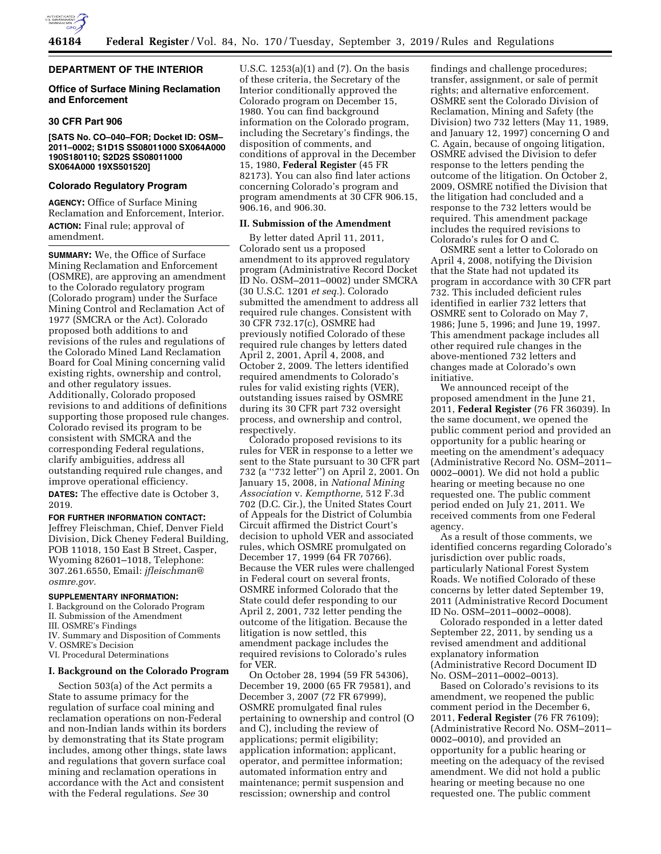

## **DEPARTMENT OF THE INTERIOR**

## **Office of Surface Mining Reclamation and Enforcement**

### **30 CFR Part 906**

#### **[SATS No. CO–040–FOR; Docket ID: OSM– 2011–0002; S1D1S SS08011000 SX064A000 190S180110; S2D2S SS08011000 SX064A000 19XS501520]**

#### **Colorado Regulatory Program**

**AGENCY:** Office of Surface Mining Reclamation and Enforcement, Interior. **ACTION:** Final rule; approval of amendment.

**SUMMARY:** We, the Office of Surface Mining Reclamation and Enforcement (OSMRE), are approving an amendment to the Colorado regulatory program (Colorado program) under the Surface Mining Control and Reclamation Act of 1977 (SMCRA or the Act). Colorado proposed both additions to and revisions of the rules and regulations of the Colorado Mined Land Reclamation Board for Coal Mining concerning valid existing rights, ownership and control, and other regulatory issues. Additionally, Colorado proposed revisions to and additions of definitions supporting those proposed rule changes. Colorado revised its program to be consistent with SMCRA and the corresponding Federal regulations, clarify ambiguities, address all outstanding required rule changes, and improve operational efficiency.

**DATES:** The effective date is October 3, 2019.

**FOR FURTHER INFORMATION CONTACT:**  Jeffrey Fleischman, Chief, Denver Field Division, Dick Cheney Federal Building, POB 11018, 150 East B Street, Casper, Wyoming 82601–1018, Telephone: 307.261.6550, Email: *[jfleischman@](mailto:jfleischman@osmre.gov) [osmre.gov.](mailto:jfleischman@osmre.gov)* 

## **SUPPLEMENTARY INFORMATION:**

I. Background on the Colorado Program

- II. Submission of the Amendment
- III. OSMRE's Findings
- IV. Summary and Disposition of Comments
- V. OSMRE's Decision
- VI. Procedural Determinations

#### **I. Background on the Colorado Program**

Section 503(a) of the Act permits a State to assume primacy for the regulation of surface coal mining and reclamation operations on non-Federal and non-Indian lands within its borders by demonstrating that its State program includes, among other things, state laws and regulations that govern surface coal mining and reclamation operations in accordance with the Act and consistent with the Federal regulations. *See* 30

U.S.C. 1253(a)(1) and (7). On the basis of these criteria, the Secretary of the Interior conditionally approved the Colorado program on December 15, 1980. You can find background information on the Colorado program, including the Secretary's findings, the disposition of comments, and conditions of approval in the December 15, 1980, **Federal Register** (45 FR 82173). You can also find later actions concerning Colorado's program and program amendments at 30 CFR 906.15, 906.16, and 906.30.

## **II. Submission of the Amendment**

By letter dated April 11, 2011, Colorado sent us a proposed amendment to its approved regulatory program (Administrative Record Docket ID No. OSM–2011–0002) under SMCRA (30 U.S.C. 1201 *et seq.*). Colorado submitted the amendment to address all required rule changes. Consistent with 30 CFR 732.17(c), OSMRE had previously notified Colorado of these required rule changes by letters dated April 2, 2001, April 4, 2008, and October 2, 2009. The letters identified required amendments to Colorado's rules for valid existing rights (VER), outstanding issues raised by OSMRE during its 30 CFR part 732 oversight process, and ownership and control, respectively.

Colorado proposed revisions to its rules for VER in response to a letter we sent to the State pursuant to 30 CFR part 732 (a ''732 letter'') on April 2, 2001. On January 15, 2008, in *National Mining Association* v. *Kempthorne,* 512 F.3d 702 (D.C. Cir.), the United States Court of Appeals for the District of Columbia Circuit affirmed the District Court's decision to uphold VER and associated rules, which OSMRE promulgated on December 17, 1999 (64 FR 70766). Because the VER rules were challenged in Federal court on several fronts, OSMRE informed Colorado that the State could defer responding to our April 2, 2001, 732 letter pending the outcome of the litigation. Because the litigation is now settled, this amendment package includes the required revisions to Colorado's rules for VER.

On October 28, 1994 (59 FR 54306), December 19, 2000 (65 FR 79581), and December 3, 2007 (72 FR 67999), OSMRE promulgated final rules pertaining to ownership and control (O and C), including the review of applications; permit eligibility; application information; applicant, operator, and permittee information; automated information entry and maintenance; permit suspension and rescission; ownership and control

findings and challenge procedures; transfer, assignment, or sale of permit rights; and alternative enforcement. OSMRE sent the Colorado Division of Reclamation, Mining and Safety (the Division) two 732 letters (May 11, 1989, and January 12, 1997) concerning O and C. Again, because of ongoing litigation, OSMRE advised the Division to defer response to the letters pending the outcome of the litigation. On October 2, 2009, OSMRE notified the Division that the litigation had concluded and a response to the 732 letters would be required. This amendment package includes the required revisions to Colorado's rules for O and C.

OSMRE sent a letter to Colorado on April 4, 2008, notifying the Division that the State had not updated its program in accordance with 30 CFR part 732. This included deficient rules identified in earlier 732 letters that OSMRE sent to Colorado on May 7, 1986; June 5, 1996; and June 19, 1997. This amendment package includes all other required rule changes in the above-mentioned 732 letters and changes made at Colorado's own initiative.

We announced receipt of the proposed amendment in the June 21, 2011, **Federal Register** (76 FR 36039). In the same document, we opened the public comment period and provided an opportunity for a public hearing or meeting on the amendment's adequacy (Administrative Record No. OSM–2011– 0002–0001). We did not hold a public hearing or meeting because no one requested one. The public comment period ended on July 21, 2011. We received comments from one Federal agency.

As a result of those comments, we identified concerns regarding Colorado's jurisdiction over public roads, particularly National Forest System Roads. We notified Colorado of these concerns by letter dated September 19, 2011 (Administrative Record Document ID No. OSM–2011–0002–0008).

Colorado responded in a letter dated September 22, 2011, by sending us a revised amendment and additional explanatory information (Administrative Record Document ID No. OSM–2011–0002–0013).

Based on Colorado's revisions to its amendment, we reopened the public comment period in the December 6, 2011, **Federal Register** (76 FR 76109); (Administrative Record No. OSM–2011– 0002–0010), and provided an opportunity for a public hearing or meeting on the adequacy of the revised amendment. We did not hold a public hearing or meeting because no one requested one. The public comment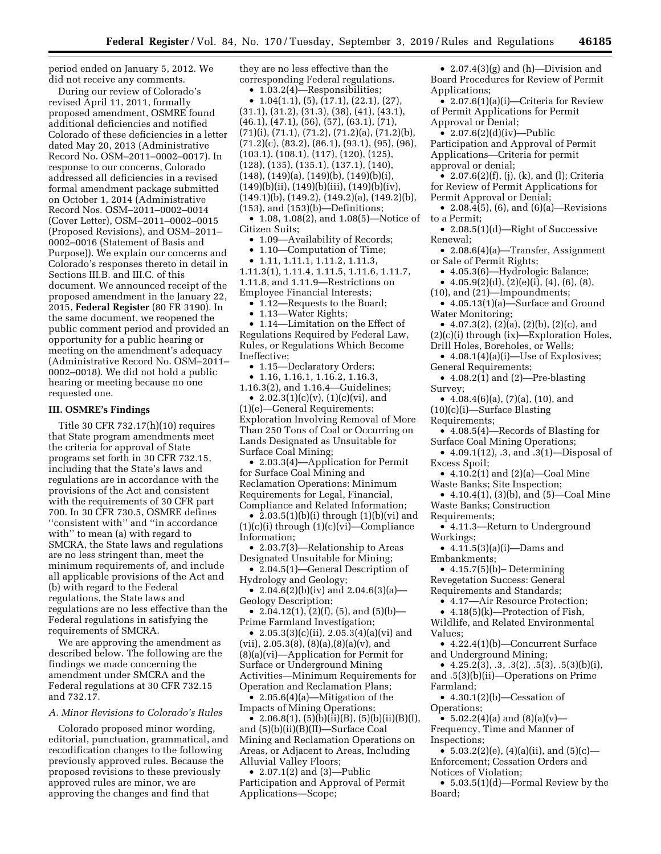period ended on January 5, 2012. We did not receive any comments.

During our review of Colorado's revised April 11, 2011, formally proposed amendment, OSMRE found additional deficiencies and notified Colorado of these deficiencies in a letter dated May 20, 2013 (Administrative Record No. OSM–2011–0002–0017). In response to our concerns, Colorado addressed all deficiencies in a revised formal amendment package submitted on October 1, 2014 (Administrative Record Nos. OSM–2011–0002–0014 (Cover Letter), OSM–2011–0002–0015 (Proposed Revisions), and OSM–2011– 0002–0016 (Statement of Basis and Purpose)). We explain our concerns and Colorado's responses thereto in detail in Sections III.B. and III.C. of this document. We announced receipt of the proposed amendment in the January 22, 2015, **Federal Register** (80 FR 3190). In the same document, we reopened the public comment period and provided an opportunity for a public hearing or meeting on the amendment's adequacy (Administrative Record No. OSM–2011– 0002–0018). We did not hold a public hearing or meeting because no one requested one.

### **III. OSMRE's Findings**

Title 30 CFR 732.17(h)(10) requires that State program amendments meet the criteria for approval of State programs set forth in 30 CFR 732.15, including that the State's laws and regulations are in accordance with the provisions of the Act and consistent with the requirements of 30 CFR part 700. In 30 CFR 730.5, OSMRE defines ''consistent with'' and ''in accordance with'' to mean (a) with regard to SMCRA, the State laws and regulations are no less stringent than, meet the minimum requirements of, and include all applicable provisions of the Act and (b) with regard to the Federal regulations, the State laws and regulations are no less effective than the Federal regulations in satisfying the requirements of SMCRA.

We are approving the amendment as described below. The following are the findings we made concerning the amendment under SMCRA and the Federal regulations at 30 CFR 732.15 and 732.17.

## *A. Minor Revisions to Colorado's Rules*

Colorado proposed minor wording, editorial, punctuation, grammatical, and recodification changes to the following previously approved rules. Because the proposed revisions to these previously approved rules are minor, we are approving the changes and find that

they are no less effective than the corresponding Federal regulations.

• 1.03.2(4)—Responsibilities;

•  $1.04(1.1), (5), (17.1), (22.1), (27),$ (31.1), (31.2), (31.3), (38), (41), (43.1), (46.1), (47.1), (56), (57), (63.1), (71),  $(71)(i)$ ,  $(71.1)$ ,  $(71.2)$ ,  $(71.2)(a)$ ,  $(71.2)(b)$ , (71.2)(c), (83.2), (86.1), (93.1), (95), (96), (103.1), (108.1), (117), (120), (125), (128), (135), (135.1), (137.1), (140), (148), (149)(a), (149)(b), (149)(b)(i),  $(149)(b)(ii)$ ,  $(149)(b)(iii)$ ,  $(149)(b)(iv)$  $(149.1)$ (b),  $(149.2)$ ,  $(149.2)$ (a),  $(149.2)$ (b), (153), and (153)(b)—Definitions;

• 1.08, 1.08(2), and 1.08(5)—Notice of Citizen Suits;

• 1.09—Availability of Records;

• 1.10—Computation of Time;

• 1.11, 1.11.1, 1.11.2, 1.11.3, 1.11.3(1), 1.11.4, 1.11.5, 1.11.6, 1.11.7, 1.11.8, and 1.11.9—Restrictions on Employee Financial Interests;

• 1.12—Requests to the Board;

• 1.13—Water Rights;

• 1.14—Limitation on the Effect of Regulations Required by Federal Law, Rules, or Regulations Which Become Ineffective;

• 1.15—Declaratory Orders;

• 1.16, 1.16.1, 1.16.2, 1.16.3,

1.16.3(2), and 1.16.4—Guidelines;

• 2.02.3(1)(c)(v), (1)(c)(vi), and (1)(e)—General Requirements: Exploration Involving Removal of More Than 250 Tons of Coal or Occurring on Lands Designated as Unsuitable for Surface Coal Mining;

• 2.03.3(4)—Application for Permit for Surface Coal Mining and Reclamation Operations: Minimum Requirements for Legal, Financial, Compliance and Related Information;

• 2.03.5(1)(b)(i) through (1)(b)(vi) and (1)(c)(i) through (1)(c)(vi)—Compliance Information;

• 2.03.7(3)—Relationship to Areas Designated Unsuitable for Mining;

• 2.04.5(1)—General Description of Hydrology and Geology;

• 2.04.6(2)(b)(iv) and 2.04.6(3)(a)— Geology Description;

• 2.04.12(1),  $(2)(f)$ ,  $(5)$ , and  $(5)(b)$ — Prime Farmland Investigation;

• 2.05.3(3)(c)(ii), 2.05.3(4)(a)(vi) and  $(vii)$ , 2.05.3(8), (8)(a),(8)(a)(v), and (8)(a)(vi)—Application for Permit for Surface or Underground Mining Activities—Minimum Requirements for Operation and Reclamation Plans;

• 2.05.6(4)(a)—Mitigation of the Impacts of Mining Operations;

• 2.06.8(1),  $(5)(b)(ii)(B)$ ,  $(5)(b)(ii)(B)(I)$ , and (5)(b)(ii)(B)(II)—Surface Coal Mining and Reclamation Operations on Areas, or Adjacent to Areas, Including Alluvial Valley Floors;

• 2.07.1(2) and (3)—Public Participation and Approval of Permit Applications—Scope;

• 2.07.4(3)(g) and (h)—Division and Board Procedures for Review of Permit Applications;

• 2.07.6(1)(a)(i)—Criteria for Review of Permit Applications for Permit Approval or Denial;

•  $2.07.6(2)(d)(iv)$ —Public Participation and Approval of Permit Applications—Criteria for permit approval or denial;

•  $2.07.6(2)(f), (i), (k),$  and (l); Criteria for Review of Permit Applications for Permit Approval or Denial;

• 2.08.4(5), (6), and (6)(a)—Revisions to a Permit;

• 2.08.5(1)(d)—Right of Successive Renewal;

• 2.08.6(4)(a)—Transfer, Assignment or Sale of Permit Rights;

• 4.05.3(6)—Hydrologic Balance;

•  $4.05.9(2)(d)$ ,  $(2)(e)(i)$ ,  $(4)$ ,  $(6)$ ,  $(8)$ ,

(10), and (21)—Impoundments; • 4.05.13(1)(a)—Surface and Ground

Water Monitoring; • 4.07.3(2), (2)(a), (2)(b), (2)(c), and

(2)(c)(i) through (ix)—Exploration Holes, Drill Holes, Boreholes, or Wells;

• 4.08.1(4)(a)(i)—Use of Explosives; General Requirements;

•  $4.08.2(1)$  and  $(2)$ —Pre-blasting Survey;

•  $4.08.4(6)(a)$ ,  $(7)(a)$ ,  $(10)$ , and

(10)(c)(i)—Surface Blasting

Requirements;

- 4.08.5(4)—Records of Blasting for Surface Coal Mining Operations;
- 4.09.1(12), .3, and  $.3(1)$ —Disposal of Excess Spoil;

• 4.10.2(1) and (2)(a)—Coal Mine Waste Banks; Site Inspection;

• 4.10.4(1), (3)(b), and (5)—Coal Mine Waste Banks; Construction

Requirements;

• 4.11.3—Return to Underground Workings;

• 4.11.5(3)(a)(i)—Dams and Embankments;

•  $4.15.7(5)(b)$  Determining Revegetation Success: General Requirements and Standards;

• 4.17—Air Resource Protection;

• 4.18(5)(k)—Protection of Fish,

Wildlife, and Related Environmental Values;

• 4.22.4(1)(b)—Concurrent Surface and Underground Mining;

•  $4.25.2(3), .3, .3(2), .5(3), .5(3)(b)(i)$ , and .5(3)(b)(ii)—Operations on Prime Farmland;

• 4.30.1(2)(b)—Cessation of Operations;

• 5.02.2(4)(a) and  $(8)(a)(v)$ — Frequency, Time and Manner of Inspections;

•  $5.03.2(2)(e)$ ,  $(4)(a)(ii)$ , and  $(5)(c)$ — Enforcement; Cessation Orders and Notices of Violation;

• 5.03.5(1)(d)—Formal Review by the Board;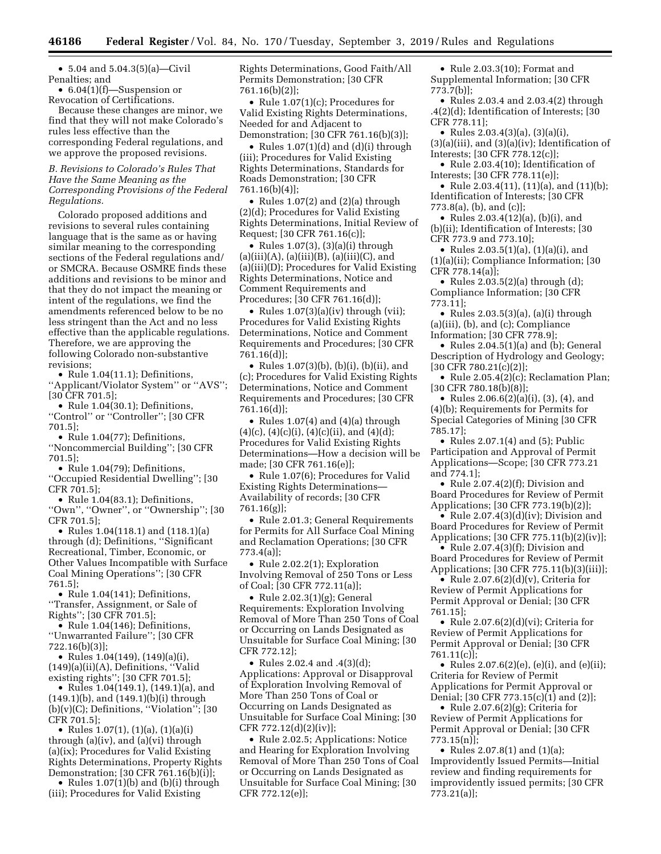• 5.04 and 5.04.3(5)(a)—Civil Penalties; and

• 6.04(1)(f)—Suspension or Revocation of Certifications.

Because these changes are minor, we find that they will not make Colorado's rules less effective than the corresponding Federal regulations, and we approve the proposed revisions.

## *B. Revisions to Colorado's Rules That Have the Same Meaning as the Corresponding Provisions of the Federal Regulations.*

Colorado proposed additions and revisions to several rules containing language that is the same as or having similar meaning to the corresponding sections of the Federal regulations and/ or SMCRA. Because OSMRE finds these additions and revisions to be minor and that they do not impact the meaning or intent of the regulations, we find the amendments referenced below to be no less stringent than the Act and no less effective than the applicable regulations. Therefore, we are approving the following Colorado non-substantive revisions;

• Rule 1.04(11.1); Definitions, ''Applicant/Violator System'' or ''AVS''; [30 CFR 701.5];

• Rule 1.04(30.1); Definitions, ''Control'' or ''Controller''; [30 CFR 701.5];

- Rule 1.04(77); Definitions, ''Noncommercial Building''; [30 CFR 701.5];
- Rule 1.04(79); Definitions, ''Occupied Residential Dwelling''; [30 CFR 701.5];

• Rule 1.04(83.1); Definitions, ''Own'', ''Owner'', or ''Ownership''; [30 CFR 701.5];

• Rules 1.04(118.1) and (118.1)(a) through (d); Definitions, ''Significant Recreational, Timber, Economic, or Other Values Incompatible with Surface Coal Mining Operations''; [30 CFR 761.5];

• Rule 1.04(141); Definitions, ''Transfer, Assignment, or Sale of Rights''; [30 CFR 701.5];

• Rule 1.04(146); Definitions, ''Unwarranted Failure''; [30 CFR 722.16(b)(3)];

• Rules 1.04(149), (149)(a)(i), (149)(a)(ii)(A), Definitions, ''Valid existing rights''; [30 CFR 701.5];

• Rules 1.04(149.1), (149.1)(a), and (149.1)(b), and (149.1)(b)(i) through  $(b)(v)(C)$ ; Definitions, "Violation"; [30 CFR 701.5];

• Rules 1.07(1), (1)(a), (1)(a)(i) through (a)(iv), and (a)(vi) through (a)(ix); Procedures for Valid Existing Rights Determinations, Property Rights Demonstration; [30 CFR 761.16(b)(i)];

• Rules 1.07(1)(b) and (b)(i) through (iii); Procedures for Valid Existing

Rights Determinations, Good Faith/All Permits Demonstration; [30 CFR 761.16(b)(2)];

• Rule 1.07(1)(c); Procedures for Valid Existing Rights Determinations, Needed for and Adjacent to Demonstration; [30 CFR 761.16(b)(3)];

• Rules 1.07(1)(d) and (d)(i) through (iii); Procedures for Valid Existing Rights Determinations, Standards for Roads Demonstration; [30 CFR 761.16(b)(4)];

• Rules 1.07(2) and (2)(a) through (2)(d); Procedures for Valid Existing Rights Determinations, Initial Review of Request; [30 CFR 761.16(c)];

• Rules 1.07(3), (3)(a)(i) through  $(a)(iii)(A), (a)(iii)(B), (a)(iii)(C), and$ (a)(iii)(D); Procedures for Valid Existing Rights Determinations, Notice and Comment Requirements and Procedures; [30 CFR 761.16(d)];

• Rules  $1.07(3)(a)(iv)$  through (vii); Procedures for Valid Existing Rights Determinations, Notice and Comment Requirements and Procedures; [30 CFR 761.16(d)];

• Rules 1.07(3)(b), (b)(i), (b)(ii), and (c); Procedures for Valid Existing Rights Determinations, Notice and Comment Requirements and Procedures; [30 CFR 761.16(d)];

• Rules 1.07(4) and (4)(a) through  $(4)(c)$ ,  $(4)(c)(i)$ ,  $(4)(c)(ii)$ , and  $(4)(d)$ ; Procedures for Valid Existing Rights Determinations—How a decision will be made; [30 CFR 761.16(e)];

• Rule 1.07(6); Procedures for Valid Existing Rights Determinations— Availability of records; [30 CFR 761.16(g)];

• Rule 2.01.3; General Requirements for Permits for All Surface Coal Mining and Reclamation Operations; [30 CFR 773.4(a)];

• Rule 2.02.2(1); Exploration Involving Removal of 250 Tons or Less of Coal; [30 CFR 772.11(a)];

• Rule 2.02.3(1)(g); General Requirements: Exploration Involving Removal of More Than 250 Tons of Coal or Occurring on Lands Designated as Unsuitable for Surface Coal Mining; [30 CFR 772.12];

• Rules 2.02.4 and .4(3)(d); Applications: Approval or Disapproval of Exploration Involving Removal of More Than 250 Tons of Coal or Occurring on Lands Designated as Unsuitable for Surface Coal Mining; [30 CFR 772.12(d)(2)(iv)];

• Rule 2.02.5; Applications: Notice and Hearing for Exploration Involving Removal of More Than 250 Tons of Coal or Occurring on Lands Designated as Unsuitable for Surface Coal Mining; [30 CFR 772.12(e)];

• Rule 2.03.3(10); Format and Supplemental Information; [30 CFR 773.7(b)];

• Rules 2.03.4 and 2.03.4(2) through .4(2)(d); Identification of Interests; [30 CFR 778.11];

• Rules 2.03.4(3)(a), (3)(a)(i), (3)(a)(iii), and (3)(a)(iv); Identification of Interests; [30 CFR 778.12(c)];

• Rule 2.03.4(10); Identification of Interests; [30 CFR 778.11(e)];

• Rule 2.03.4(11), (11)(a), and (11)(b); Identification of Interests; [30 CFR 773.8(a), (b), and (c)];

• Rules 2.03.4(12)(a), (b)(i), and (b)(ii); Identification of Interests; [30 CFR 773.9 and 773.10];

• Rules 2.03.5(1)(a), (1)(a)(i), and (1)(a)(ii); Compliance Information; [30 CFR 778.14(a)];

• Rules  $2.03.5(2)(a)$  through  $(d)$ ; Compliance Information; [30 CFR 773.11];

• Rules 2.03.5(3)(a), (a)(i) through (a)(iii), (b), and (c); Compliance Information; [30 CFR 778.9];

• Rules 2.04.5(1)(a) and (b); General Description of Hydrology and Geology; [30 CFR 780.21(c)(2)];

• Rule 2.05.4(2)(c); Reclamation Plan; [30 CFR 780.18(b)(8)];

• Rules 2.06.6(2)(a)(i), (3), (4), and (4)(b); Requirements for Permits for Special Categories of Mining [30 CFR 785.17];

• Rules  $2.07.1(4)$  and  $(5)$ ; Public Participation and Approval of Permit Applications—Scope; [30 CFR 773.21 and 774.1];

• Rule 2.07.4(2)(f); Division and Board Procedures for Review of Permit Applications; [30 CFR 773.19(b)(2)];

• Rule 2.07.4(3)(d)(iv); Division and Board Procedures for Review of Permit Applications; [30 CFR 775.11(b)(2)(iv)];

• Rule 2.07.4(3)(f); Division and Board Procedures for Review of Permit Applications; [30 CFR 775.11(b)(3)(iii)];

• Rule 2.07.6(2)(d)(v), Criteria for Review of Permit Applications for Permit Approval or Denial; [30 CFR 761.15];

• Rule  $2.07.6(2)(d)(vi)$ ; Criteria for Review of Permit Applications for Permit Approval or Denial; [30 CFR 761.11(c)];

• Rules 2.07.6(2)(e), (e)(i), and (e)(ii); Criteria for Review of Permit Applications for Permit Approval or Denial; [30 CFR 773.15(c)(1) and (2)];

• Rule 2.07.6(2)(g); Criteria for Review of Permit Applications for Permit Approval or Denial; [30 CFR 773.15(n)];

• Rules 2.07.8(1) and (1)(a); Improvidently Issued Permits—Initial review and finding requirements for improvidently issued permits; [30 CFR 773.21(a)];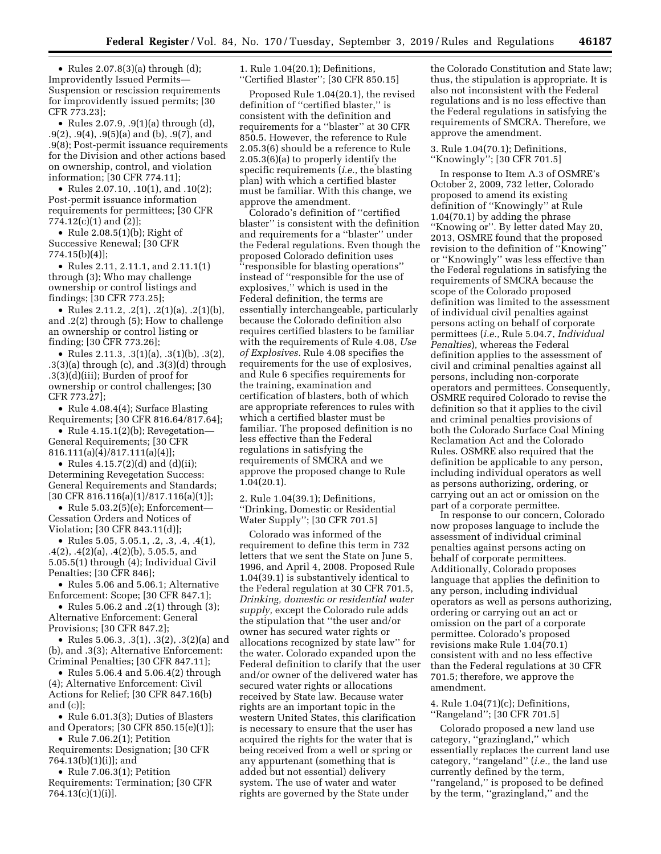• Rules 2.07.8(3)(a) through (d); Improvidently Issued Permits— Suspension or rescission requirements for improvidently issued permits; [30 CFR 773.23];

• Rules 2.07.9, .9(1)(a) through (d), .9(2), .9(4), .9(5)(a) and (b), .9(7), and .9(8); Post-permit issuance requirements for the Division and other actions based on ownership, control, and violation information; [30 CFR 774.11];

• Rules 2.07.10, .10(1), and .10(2); Post-permit issuance information requirements for permittees; [30 CFR 774.12(c)(1) and (2)];

• Rule 2.08.5(1)(b); Right of Successive Renewal; [30 CFR 774.15(b)(4)];

• Rules 2.11, 2.11.1, and 2.11.1(1) through (3); Who may challenge ownership or control listings and findings; [30 CFR 773.25];

• Rules 2.11.2,  $.2(1)$ ,  $.2(1)(a)$ ,  $.2(1)(b)$ , and .2(2) through (5); How to challenge an ownership or control listing or finding; [30 CFR 773.26];

• Rules 2.11.3, .3(1)(a), .3(1)(b), .3(2), .3(3)(a) through (c), and .3(3)(d) through .3(3)(d)(iii); Burden of proof for ownership or control challenges; [30 CFR 773.27];

• Rule 4.08.4(4); Surface Blasting Requirements; [30 CFR 816.64/817.64];

• Rule 4.15.1(2)(b); Revegetation-General Requirements; [30 CFR 816.111(a)(4)/817.111(a)(4)];

• Rules 4.15.7(2)(d) and (d)(ii); Determining Revegetation Success: General Requirements and Standards; [30 CFR 816.116(a)(1)/817.116(a)(1)];

• Rule 5.03.2(5)(e); Enforcement— Cessation Orders and Notices of Violation; [30 CFR 843.11(d)];

• Rules 5.05, 5.05.1, .2, .3, .4, .4(1), .4(2), .4(2)(a), .4(2)(b), 5.05.5, and 5.05.5(1) through (4); Individual Civil Penalties; [30 CFR 846];

• Rules 5.06 and 5.06.1; Alternative Enforcement: Scope; [30 CFR 847.1];

• Rules 5.06.2 and .2(1) through (3); Alternative Enforcement: General Provisions; [30 CFR 847.2];

• Rules 5.06.3, .3(1), .3(2), .3(2)(a) and (b), and .3(3); Alternative Enforcement: Criminal Penalties; [30 CFR 847.11];

• Rules 5.06.4 and 5.06.4(2) through (4); Alternative Enforcement: Civil Actions for Relief; [30 CFR 847.16(b) and (c)];

• Rule 6.01.3(3); Duties of Blasters and Operators; [30 CFR 850.15(e)(1)];

• Rule 7.06.2(1); Petition Requirements: Designation; [30 CFR 764.13(b)(1)(i)]; and

• Rule 7.06.3(1); Petition

Requirements: Termination; [30 CFR 764.13(c)(1)(i)].

1. Rule 1.04(20.1); Definitions, ''Certified Blaster''; [30 CFR 850.15]

Proposed Rule 1.04(20.1), the revised definition of ''certified blaster,'' is consistent with the definition and requirements for a ''blaster'' at 30 CFR 850.5. However, the reference to Rule 2.05.3(6) should be a reference to Rule 2.05.3(6)(a) to properly identify the specific requirements (*i.e.,* the blasting plan) with which a certified blaster must be familiar. With this change, we approve the amendment.

Colorado's definition of ''certified blaster'' is consistent with the definition and requirements for a ''blaster'' under the Federal regulations. Even though the proposed Colorado definition uses ''responsible for blasting operations'' instead of ''responsible for the use of explosives,'' which is used in the Federal definition, the terms are essentially interchangeable, particularly because the Colorado definition also requires certified blasters to be familiar with the requirements of Rule 4.08, *Use of Explosives.* Rule 4.08 specifies the requirements for the use of explosives, and Rule 6 specifies requirements for the training, examination and certification of blasters, both of which are appropriate references to rules with which a certified blaster must be familiar. The proposed definition is no less effective than the Federal regulations in satisfying the requirements of SMCRA and we approve the proposed change to Rule 1.04(20.1).

2. Rule 1.04(39.1); Definitions, ''Drinking, Domestic or Residential Water Supply''; [30 CFR 701.5]

Colorado was informed of the requirement to define this term in 732 letters that we sent the State on June 5, 1996, and April 4, 2008. Proposed Rule 1.04(39.1) is substantively identical to the Federal regulation at 30 CFR 701.5, *Drinking, domestic or residential water supply,* except the Colorado rule adds the stipulation that ''the user and/or owner has secured water rights or allocations recognized by state law'' for the water. Colorado expanded upon the Federal definition to clarify that the user and/or owner of the delivered water has secured water rights or allocations received by State law. Because water rights are an important topic in the western United States, this clarification is necessary to ensure that the user has acquired the rights for the water that is being received from a well or spring or any appurtenant (something that is added but not essential) delivery system. The use of water and water rights are governed by the State under

the Colorado Constitution and State law; thus, the stipulation is appropriate. It is also not inconsistent with the Federal regulations and is no less effective than the Federal regulations in satisfying the requirements of SMCRA. Therefore, we approve the amendment.

3. Rule 1.04(70.1); Definitions, ''Knowingly''; [30 CFR 701.5]

In response to Item A.3 of OSMRE's October 2, 2009, 732 letter, Colorado proposed to amend its existing definition of ''Knowingly'' at Rule 1.04(70.1) by adding the phrase ''Knowing or''. By letter dated May 20, 2013, OSMRE found that the proposed revision to the definition of ''Knowing'' or ''Knowingly'' was less effective than the Federal regulations in satisfying the requirements of SMCRA because the scope of the Colorado proposed definition was limited to the assessment of individual civil penalties against persons acting on behalf of corporate permittees (*i.e.,* Rule 5.04.7, *Individual Penalties*), whereas the Federal definition applies to the assessment of civil and criminal penalties against all persons, including non-corporate operators and permittees. Consequently, OSMRE required Colorado to revise the definition so that it applies to the civil and criminal penalties provisions of both the Colorado Surface Coal Mining Reclamation Act and the Colorado Rules. OSMRE also required that the definition be applicable to any person, including individual operators as well as persons authorizing, ordering, or carrying out an act or omission on the part of a corporate permittee.

In response to our concern, Colorado now proposes language to include the assessment of individual criminal penalties against persons acting on behalf of corporate permittees. Additionally, Colorado proposes language that applies the definition to any person, including individual operators as well as persons authorizing, ordering or carrying out an act or omission on the part of a corporate permittee. Colorado's proposed revisions make Rule 1.04(70.1) consistent with and no less effective than the Federal regulations at 30 CFR 701.5; therefore, we approve the amendment.

4. Rule 1.04(71)(c); Definitions, ''Rangeland''; [30 CFR 701.5]

Colorado proposed a new land use category, ''grazingland,'' which essentially replaces the current land use category, ''rangeland'' (*i.e.,* the land use currently defined by the term, ''rangeland,'' is proposed to be defined by the term, ''grazingland,'' and the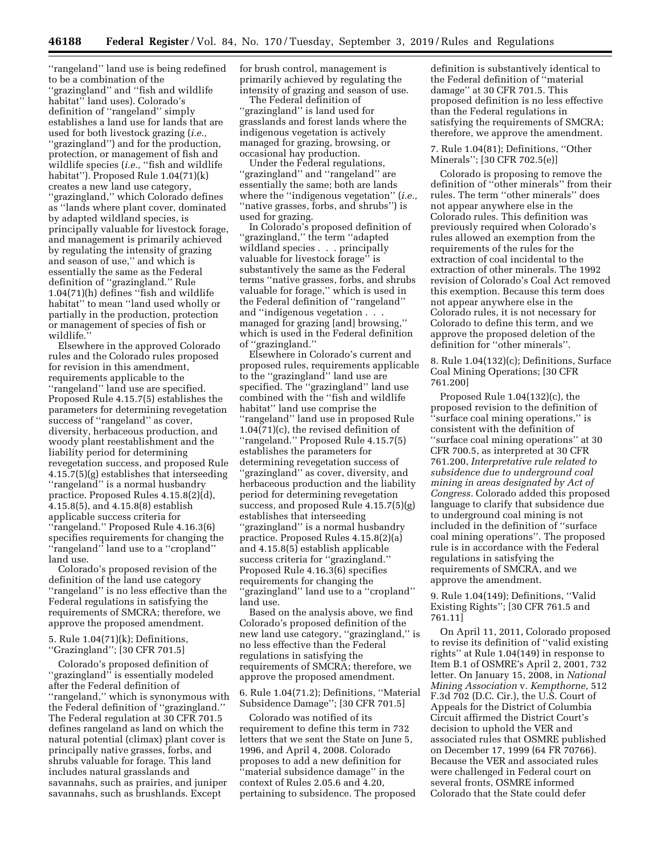''rangeland'' land use is being redefined to be a combination of the ''grazingland'' and ''fish and wildlife habitat'' land uses). Colorado's definition of ''rangeland'' simply establishes a land use for lands that are used for both livestock grazing (*i.e.,*  ''grazingland'') and for the production, protection, or management of fish and wildlife species (*i.e.*, "fish and wildlife habitat''). Proposed Rule 1.04(71)(k) creates a new land use category, ''grazingland,'' which Colorado defines as ''lands where plant cover, dominated by adapted wildland species, is principally valuable for livestock forage, and management is primarily achieved by regulating the intensity of grazing and season of use,'' and which is essentially the same as the Federal definition of ''grazingland.'' Rule 1.04(71)(h) defines ''fish and wildlife habitat'' to mean ''land used wholly or partially in the production, protection or management of species of fish or wildlife.

Elsewhere in the approved Colorado rules and the Colorado rules proposed for revision in this amendment, requirements applicable to the ''rangeland'' land use are specified. Proposed Rule 4.15.7(5) establishes the parameters for determining revegetation success of ''rangeland'' as cover, diversity, herbaceous production, and woody plant reestablishment and the liability period for determining revegetation success, and proposed Rule 4.15.7(5)(g) establishes that interseeding ''rangeland'' is a normal husbandry practice. Proposed Rules 4.15.8(2)(d), 4.15.8(5), and 4.15.8(8) establish applicable success criteria for ''rangeland.'' Proposed Rule 4.16.3(6) specifies requirements for changing the ''rangeland'' land use to a ''cropland'' land use.

Colorado's proposed revision of the definition of the land use category ''rangeland'' is no less effective than the Federal regulations in satisfying the requirements of SMCRA; therefore, we approve the proposed amendment.

5. Rule 1.04(71)(k); Definitions, ''Grazingland''; [30 CFR 701.5]

Colorado's proposed definition of ''grazingland'' is essentially modeled after the Federal definition of ''rangeland,'' which is synonymous with the Federal definition of ''grazingland.'' The Federal regulation at 30 CFR 701.5 defines rangeland as land on which the natural potential (climax) plant cover is principally native grasses, forbs, and shrubs valuable for forage. This land includes natural grasslands and savannahs, such as prairies, and juniper savannahs, such as brushlands. Except

for brush control, management is primarily achieved by regulating the intensity of grazing and season of use.

The Federal definition of ''grazingland'' is land used for grasslands and forest lands where the indigenous vegetation is actively managed for grazing, browsing, or occasional hay production.

Under the Federal regulations, ''grazingland'' and ''rangeland'' are essentially the same; both are lands where the ''indigenous vegetation'' (*i.e.,*  ''native grasses, forbs, and shrubs'') is used for grazing.

In Colorado's proposed definition of 'grazingland," the term "adapted wildland species . . . principally valuable for livestock forage'' is substantively the same as the Federal terms ''native grasses, forbs, and shrubs valuable for forage,'' which is used in the Federal definition of ''rangeland'' and ''indigenous vegetation . . . managed for grazing [and] browsing,'' which is used in the Federal definition of ''grazingland.''

Elsewhere in Colorado's current and proposed rules, requirements applicable to the ''grazingland'' land use are specified. The ''grazingland'' land use combined with the ''fish and wildlife habitat'' land use comprise the ''rangeland'' land use in proposed Rule 1.04(71)(c), the revised definition of ''rangeland.'' Proposed Rule 4.15.7(5) establishes the parameters for determining revegetation success of "grazingland" as cover, diversity, and herbaceous production and the liability period for determining revegetation success, and proposed Rule 4.15.7(5)(g) establishes that interseeding ''grazingland'' is a normal husbandry practice. Proposed Rules 4.15.8(2)(a) and 4.15.8(5) establish applicable success criteria for ''grazingland.'' Proposed Rule 4.16.3(6) specifies requirements for changing the ''grazingland'' land use to a ''cropland'' land use.

Based on the analysis above, we find Colorado's proposed definition of the new land use category, ''grazingland,'' is no less effective than the Federal regulations in satisfying the requirements of SMCRA; therefore, we approve the proposed amendment.

6. Rule 1.04(71.2); Definitions, ''Material Subsidence Damage''; [30 CFR 701.5]

Colorado was notified of its requirement to define this term in 732 letters that we sent the State on June 5, 1996, and April 4, 2008. Colorado proposes to add a new definition for ''material subsidence damage'' in the context of Rules 2.05.6 and 4.20, pertaining to subsidence. The proposed

definition is substantively identical to the Federal definition of ''material damage'' at 30 CFR 701.5. This proposed definition is no less effective than the Federal regulations in satisfying the requirements of SMCRA; therefore, we approve the amendment.

7. Rule 1.04(81); Definitions, ''Other Minerals''; [30 CFR 702.5(e)]

Colorado is proposing to remove the definition of ''other minerals'' from their rules. The term ''other minerals'' does not appear anywhere else in the Colorado rules. This definition was previously required when Colorado's rules allowed an exemption from the requirements of the rules for the extraction of coal incidental to the extraction of other minerals. The 1992 revision of Colorado's Coal Act removed this exemption. Because this term does not appear anywhere else in the Colorado rules, it is not necessary for Colorado to define this term, and we approve the proposed deletion of the definition for ''other minerals''.

8. Rule 1.04(132)(c); Definitions, Surface Coal Mining Operations; [30 CFR 761.200]

Proposed Rule 1.04(132)(c), the proposed revision to the definition of ''surface coal mining operations,'' is consistent with the definition of ''surface coal mining operations'' at 30 CFR 700.5, as interpreted at 30 CFR 761.200, *Interpretative rule related to subsidence due to underground coal mining in areas designated by Act of Congress.* Colorado added this proposed language to clarify that subsidence due to underground coal mining is not included in the definition of ''surface coal mining operations''. The proposed rule is in accordance with the Federal regulations in satisfying the requirements of SMCRA, and we approve the amendment.

9. Rule 1.04(149); Definitions, ''Valid Existing Rights''; [30 CFR 761.5 and 761.11]

On April 11, 2011, Colorado proposed to revise its definition of ''valid existing rights'' at Rule 1.04(149) in response to Item B.1 of OSMRE's April 2, 2001, 732 letter. On January 15, 2008, in *National Mining Association* v. *Kempthorne,* 512 F.3d 702 (D.C. Cir.), the U.S. Court of Appeals for the District of Columbia Circuit affirmed the District Court's decision to uphold the VER and associated rules that OSMRE published on December 17, 1999 (64 FR 70766). Because the VER and associated rules were challenged in Federal court on several fronts, OSMRE informed Colorado that the State could defer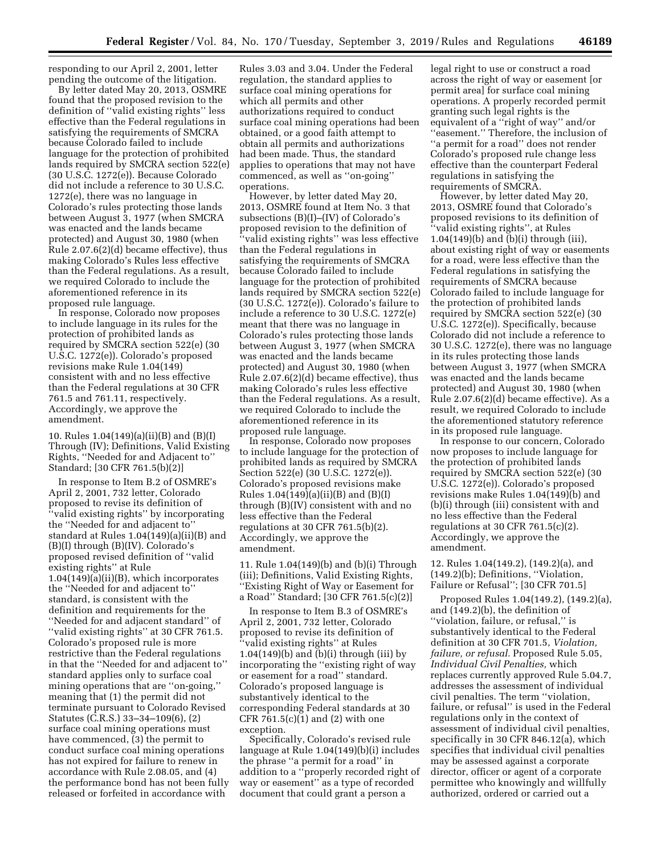responding to our April 2, 2001, letter pending the outcome of the litigation.

By letter dated May 20, 2013, OSMRE found that the proposed revision to the definition of ''valid existing rights'' less effective than the Federal regulations in satisfying the requirements of SMCRA because Colorado failed to include language for the protection of prohibited lands required by SMCRA section 522(e) (30 U.S.C. 1272(e)). Because Colorado did not include a reference to 30 U.S.C. 1272(e), there was no language in Colorado's rules protecting those lands between August 3, 1977 (when SMCRA was enacted and the lands became protected) and August 30, 1980 (when Rule 2.07.6(2)(d) became effective), thus making Colorado's Rules less effective than the Federal regulations. As a result, we required Colorado to include the aforementioned reference in its proposed rule language.

In response, Colorado now proposes to include language in its rules for the protection of prohibited lands as required by SMCRA section 522(e) (30 U.S.C. 1272(e)). Colorado's proposed revisions make Rule 1.04(149) consistent with and no less effective than the Federal regulations at 30 CFR 761.5 and 761.11, respectively. Accordingly, we approve the amendment.

10. Rules 1.04(149)(a)(ii)(B) and (B)(I) Through (IV); Definitions, Valid Existing Rights, ''Needed for and Adjacent to'' Standard; [30 CFR 761.5(b)(2)]

In response to Item B.2 of OSMRE's April 2, 2001, 732 letter, Colorado proposed to revise its definition of ''valid existing rights'' by incorporating the ''Needed for and adjacent to'' standard at Rules 1.04(149)(a)(ii)(B) and (B)(I) through (B)(IV). Colorado's proposed revised definition of ''valid existing rights'' at Rule  $1.04(149)(a)(ii)(B)$ , which incorporates the ''Needed for and adjacent to'' standard, is consistent with the definition and requirements for the ''Needed for and adjacent standard'' of ''valid existing rights'' at 30 CFR 761.5. Colorado's proposed rule is more restrictive than the Federal regulations in that the ''Needed for and adjacent to'' standard applies only to surface coal mining operations that are ''on-going,'' meaning that (1) the permit did not terminate pursuant to Colorado Revised Statutes (C.R.S.) 33–34–109(6), (2) surface coal mining operations must have commenced,  $\overline{3}$  the permit to conduct surface coal mining operations has not expired for failure to renew in accordance with Rule 2.08.05, and (4) the performance bond has not been fully released or forfeited in accordance with

Rules 3.03 and 3.04. Under the Federal regulation, the standard applies to surface coal mining operations for which all permits and other authorizations required to conduct surface coal mining operations had been obtained, or a good faith attempt to obtain all permits and authorizations had been made. Thus, the standard applies to operations that may not have commenced, as well as ''on-going'' operations.

However, by letter dated May 20, 2013, OSMRE found at Item No. 3 that subsections (B)(I)–(IV) of Colorado's proposed revision to the definition of ''valid existing rights'' was less effective than the Federal regulations in satisfying the requirements of SMCRA because Colorado failed to include language for the protection of prohibited lands required by SMCRA section 522(e) (30 U.S.C. 1272(e)). Colorado's failure to include a reference to 30 U.S.C. 1272(e) meant that there was no language in Colorado's rules protecting those lands between August 3, 1977 (when SMCRA was enacted and the lands became protected) and August 30, 1980 (when Rule 2.07.6(2)(d) became effective), thus making Colorado's rules less effective than the Federal regulations. As a result, we required Colorado to include the aforementioned reference in its proposed rule language.

In response, Colorado now proposes to include language for the protection of prohibited lands as required by SMCRA Section 522(e) (30 U.S.C. 1272(e)). Colorado's proposed revisions make Rules 1.04(149)(a)(ii)(B) and (B)(I) through (B)(IV) consistent with and no less effective than the Federal regulations at 30 CFR 761.5(b)(2). Accordingly, we approve the amendment.

11. Rule 1.04(149)(b) and (b)(i) Through (iii); Definitions, Valid Existing Rights, ''Existing Right of Way or Easement for a Road'' Standard; [30 CFR 761.5(c)(2)]

In response to Item B.3 of OSMRE's April 2, 2001, 732 letter, Colorado proposed to revise its definition of ''valid existing rights'' at Rules  $1.04(149)(b)$  and  $(b)(i)$  through (iii) by incorporating the ''existing right of way or easement for a road'' standard. Colorado's proposed language is substantively identical to the corresponding Federal standards at 30 CFR 761.5(c)(1) and (2) with one exception.

Specifically, Colorado's revised rule language at Rule 1.04(149)(b)(i) includes the phrase ''a permit for a road'' in addition to a ''properly recorded right of way or easement'' as a type of recorded document that could grant a person a

legal right to use or construct a road across the right of way or easement [or permit area] for surface coal mining operations. A properly recorded permit granting such legal rights is the equivalent of a ''right of way'' and/or ''easement.'' Therefore, the inclusion of ''a permit for a road'' does not render Colorado's proposed rule change less effective than the counterpart Federal regulations in satisfying the requirements of SMCRA.

However, by letter dated May 20, 2013, OSMRE found that Colorado's proposed revisions to its definition of ''valid existing rights'', at Rules 1.04(149)(b) and (b)(i) through (iii), about existing right of way or easements for a road, were less effective than the Federal regulations in satisfying the requirements of SMCRA because Colorado failed to include language for the protection of prohibited lands required by SMCRA section 522(e) (30 U.S.C. 1272(e)). Specifically, because Colorado did not include a reference to 30 U.S.C. 1272(e), there was no language in its rules protecting those lands between August 3, 1977 (when SMCRA was enacted and the lands became protected) and August 30, 1980 (when Rule 2.07.6(2)(d) became effective). As a result, we required Colorado to include the aforementioned statutory reference in its proposed rule language.

In response to our concern, Colorado now proposes to include language for the protection of prohibited lands required by SMCRA section 522(e) (30 U.S.C. 1272(e)). Colorado's proposed revisions make Rules 1.04(149)(b) and (b)(i) through (iii) consistent with and no less effective than the Federal regulations at 30 CFR 761.5 $(c)(2)$ . Accordingly, we approve the amendment.

12. Rules 1.04(149.2), (149.2)(a), and (149.2)(b); Definitions, ''Violation, Failure or Refusal''; [30 CFR 701.5]

Proposed Rules 1.04(149.2), (149.2)(a), and (149.2)(b), the definition of ''violation, failure, or refusal,'' is substantively identical to the Federal definition at 30 CFR 701.5, *Violation, failure, or refusal.* Proposed Rule 5.05, *Individual Civil Penalties,* which replaces currently approved Rule 5.04.7, addresses the assessment of individual civil penalties. The term ''violation, failure, or refusal'' is used in the Federal regulations only in the context of assessment of individual civil penalties, specifically in 30 CFR 846.12(a), which specifies that individual civil penalties may be assessed against a corporate director, officer or agent of a corporate permittee who knowingly and willfully authorized, ordered or carried out a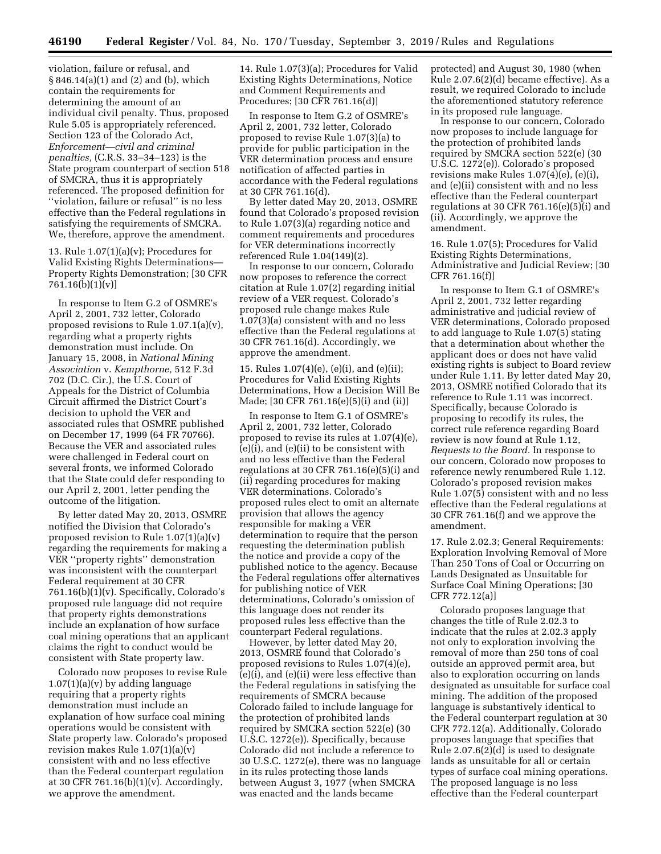violation, failure or refusal, and § 846.14(a)(1) and (2) and (b), which contain the requirements for determining the amount of an individual civil penalty. Thus, proposed Rule 5.05 is appropriately referenced. Section 123 of the Colorado Act, *Enforcement—civil and criminal penalties,* (C.R.S. 33–34–123) is the State program counterpart of section 518 of SMCRA, thus it is appropriately referenced. The proposed definition for ''violation, failure or refusal'' is no less effective than the Federal regulations in satisfying the requirements of SMCRA. We, therefore, approve the amendment.

13. Rule  $1.07(1)(a)(v)$ ; Procedures for Valid Existing Rights Determinations— Property Rights Demonstration; [30 CFR 761.16(b)(1)(v)]

In response to Item G.2 of OSMRE's April 2, 2001, 732 letter, Colorado proposed revisions to Rule 1.07.1(a)(v), regarding what a property rights demonstration must include. On January 15, 2008, in *National Mining Association* v. *Kempthorne,* 512 F.3d 702 (D.C. Cir.), the U.S. Court of Appeals for the District of Columbia Circuit affirmed the District Court's decision to uphold the VER and associated rules that OSMRE published on December 17, 1999 (64 FR 70766). Because the VER and associated rules were challenged in Federal court on several fronts, we informed Colorado that the State could defer responding to our April 2, 2001, letter pending the outcome of the litigation.

By letter dated May 20, 2013, OSMRE notified the Division that Colorado's proposed revision to Rule 1.07(1)(a)(v) regarding the requirements for making a VER ''property rights'' demonstration was inconsistent with the counterpart Federal requirement at 30 CFR 761.16(b)(1)(v). Specifically, Colorado's proposed rule language did not require that property rights demonstrations include an explanation of how surface coal mining operations that an applicant claims the right to conduct would be consistent with State property law.

Colorado now proposes to revise Rule  $1.07(1)(a)(v)$  by adding language requiring that a property rights demonstration must include an explanation of how surface coal mining operations would be consistent with State property law. Colorado's proposed revision makes Rule 1.07(1)(a)(v) consistent with and no less effective than the Federal counterpart regulation at 30 CFR 761.16(b)(1)(v). Accordingly, we approve the amendment.

14. Rule 1.07(3)(a); Procedures for Valid Existing Rights Determinations, Notice and Comment Requirements and Procedures; [30 CFR 761.16(d)]

In response to Item G.2 of OSMRE's April 2, 2001, 732 letter, Colorado proposed to revise Rule 1.07(3)(a) to provide for public participation in the VER determination process and ensure notification of affected parties in accordance with the Federal regulations at 30 CFR 761.16(d).

By letter dated May 20, 2013, OSMRE found that Colorado's proposed revision to Rule 1.07(3)(a) regarding notice and comment requirements and procedures for VER determinations incorrectly referenced Rule 1.04(149)(2).

In response to our concern, Colorado now proposes to reference the correct citation at Rule 1.07(2) regarding initial review of a VER request. Colorado's proposed rule change makes Rule 1.07(3)(a) consistent with and no less effective than the Federal regulations at 30 CFR 761.16(d). Accordingly, we approve the amendment.

15. Rules 1.07(4)(e), (e)(i), and (e)(ii); Procedures for Valid Existing Rights Determinations, How a Decision Will Be Made; [30 CFR 761.16(e)(5)(i) and (ii)]

In response to Item G.1 of OSMRE's April 2, 2001, 732 letter, Colorado proposed to revise its rules at 1.07(4)(e), (e)(i), and (e)(ii) to be consistent with and no less effective than the Federal regulations at 30 CFR 761.16(e)(5)(i) and (ii) regarding procedures for making VER determinations. Colorado's proposed rules elect to omit an alternate provision that allows the agency responsible for making a VER determination to require that the person requesting the determination publish the notice and provide a copy of the published notice to the agency. Because the Federal regulations offer alternatives for publishing notice of VER determinations, Colorado's omission of this language does not render its proposed rules less effective than the counterpart Federal regulations.

However, by letter dated May 20, 2013, OSMRE found that Colorado's proposed revisions to Rules 1.07(4)(e), (e)(i), and (e)(ii) were less effective than the Federal regulations in satisfying the requirements of SMCRA because Colorado failed to include language for the protection of prohibited lands required by SMCRA section 522(e) (30 U.S.C. 1272(e)). Specifically, because Colorado did not include a reference to 30 U.S.C. 1272(e), there was no language in its rules protecting those lands between August 3, 1977 (when SMCRA was enacted and the lands became

protected) and August 30, 1980 (when Rule 2.07.6(2)(d) became effective). As a result, we required Colorado to include the aforementioned statutory reference in its proposed rule language.

In response to our concern, Colorado now proposes to include language for the protection of prohibited lands required by SMCRA section 522(e) (30 U.S.C. 1272(e)). Colorado's proposed revisions make Rules 1.07(4)(e), (e)(i), and (e)(ii) consistent with and no less effective than the Federal counterpart regulations at 30 CFR 761.16(e)(5)(i) and (ii). Accordingly, we approve the amendment.

16. Rule 1.07(5); Procedures for Valid Existing Rights Determinations, Administrative and Judicial Review; [30 CFR 761.16(f)]

In response to Item G.1 of OSMRE's April 2, 2001, 732 letter regarding administrative and judicial review of VER determinations, Colorado proposed to add language to Rule 1.07(5) stating that a determination about whether the applicant does or does not have valid existing rights is subject to Board review under Rule 1.11. By letter dated May 20, 2013, OSMRE notified Colorado that its reference to Rule 1.11 was incorrect. Specifically, because Colorado is proposing to recodify its rules, the correct rule reference regarding Board review is now found at Rule 1.12, *Requests to the Board.* In response to our concern, Colorado now proposes to reference newly renumbered Rule 1.12. Colorado's proposed revision makes Rule 1.07(5) consistent with and no less effective than the Federal regulations at 30 CFR 761.16(f) and we approve the amendment.

17. Rule 2.02.3; General Requirements: Exploration Involving Removal of More Than 250 Tons of Coal or Occurring on Lands Designated as Unsuitable for Surface Coal Mining Operations; [30 CFR 772.12(a)]

Colorado proposes language that changes the title of Rule 2.02.3 to indicate that the rules at 2.02.3 apply not only to exploration involving the removal of more than 250 tons of coal outside an approved permit area, but also to exploration occurring on lands designated as unsuitable for surface coal mining. The addition of the proposed language is substantively identical to the Federal counterpart regulation at 30 CFR 772.12(a). Additionally, Colorado proposes language that specifies that Rule 2.07.6(2)(d) is used to designate lands as unsuitable for all or certain types of surface coal mining operations. The proposed language is no less effective than the Federal counterpart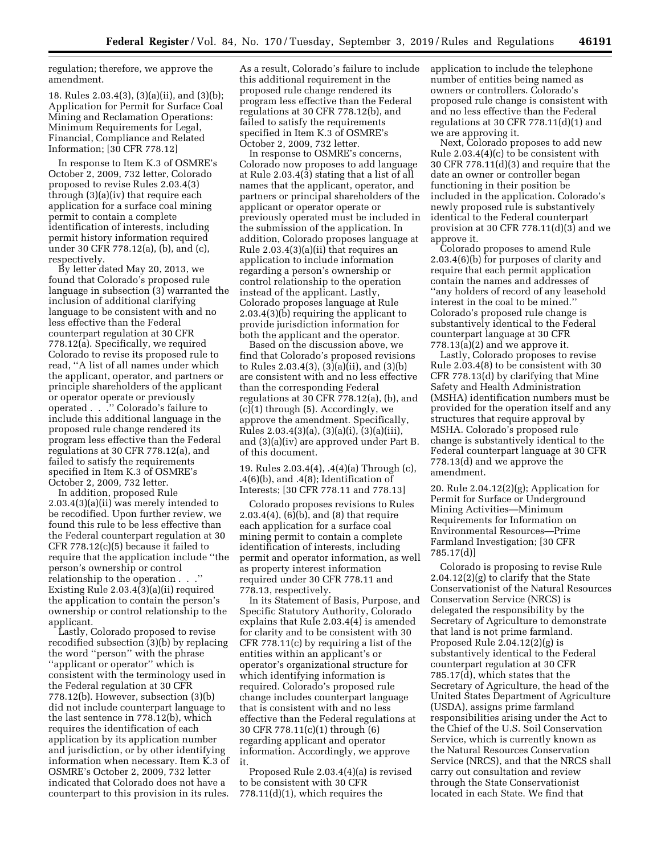regulation; therefore, we approve the amendment.

18. Rules 2.03.4(3), (3)(a)(ii), and (3)(b); Application for Permit for Surface Coal Mining and Reclamation Operations: Minimum Requirements for Legal, Financial, Compliance and Related Information; [30 CFR 778.12]

In response to Item K.3 of OSMRE's October 2, 2009, 732 letter, Colorado proposed to revise Rules 2.03.4(3) through (3)(a)(iv) that require each application for a surface coal mining permit to contain a complete identification of interests, including permit history information required under 30 CFR 778.12(a), (b), and (c), respectively.

By letter dated May 20, 2013, we found that Colorado's proposed rule language in subsection (3) warranted the inclusion of additional clarifying language to be consistent with and no less effective than the Federal counterpart regulation at 30 CFR 778.12(a). Specifically, we required Colorado to revise its proposed rule to read, ''A list of all names under which the applicant, operator, and partners or principle shareholders of the applicant or operator operate or previously operated . . .'' Colorado's failure to include this additional language in the proposed rule change rendered its program less effective than the Federal regulations at 30 CFR 778.12(a), and failed to satisfy the requirements specified in Item K.3 of OSMRE's October 2, 2009, 732 letter.

In addition, proposed Rule 2.03.4(3)(a)(ii) was merely intended to be recodified. Upon further review, we found this rule to be less effective than the Federal counterpart regulation at 30 CFR 778.12(c)(5) because it failed to require that the application include ''the person's ownership or control relationship to the operation . . .'' Existing Rule 2.03.4(3)(a)(ii) required the application to contain the person's ownership or control relationship to the applicant.

Lastly, Colorado proposed to revise recodified subsection (3)(b) by replacing the word ''person'' with the phrase ''applicant or operator'' which is consistent with the terminology used in the Federal regulation at 30 CFR 778.12(b). However, subsection (3)(b) did not include counterpart language to the last sentence in 778.12(b), which requires the identification of each application by its application number and jurisdiction, or by other identifying information when necessary. Item K.3 of OSMRE's October 2, 2009, 732 letter indicated that Colorado does not have a counterpart to this provision in its rules.

As a result, Colorado's failure to include this additional requirement in the proposed rule change rendered its program less effective than the Federal regulations at 30 CFR 778.12(b), and failed to satisfy the requirements specified in Item K.3 of OSMRE's October 2, 2009, 732 letter.

In response to OSMRE's concerns, Colorado now proposes to add language at Rule 2.03.4(3) stating that a list of all names that the applicant, operator, and partners or principal shareholders of the applicant or operator operate or previously operated must be included in the submission of the application. In addition, Colorado proposes language at Rule 2.03.4(3)(a)(ii) that requires an application to include information regarding a person's ownership or control relationship to the operation instead of the applicant. Lastly, Colorado proposes language at Rule 2.03.4(3)(b) requiring the applicant to provide jurisdiction information for both the applicant and the operator.

Based on the discussion above, we find that Colorado's proposed revisions to Rules 2.03.4(3), (3)(a)(ii), and (3)(b) are consistent with and no less effective than the corresponding Federal regulations at 30 CFR 778.12(a), (b), and (c)(1) through (5). Accordingly, we approve the amendment. Specifically, Rules 2.03.4(3)(a), (3)(a)(i), (3)(a)(iii), and (3)(a)(iv) are approved under Part B. of this document.

19. Rules 2.03.4(4), .4(4)(a) Through (c), .4(6)(b), and .4(8); Identification of Interests; [30 CFR 778.11 and 778.13]

Colorado proposes revisions to Rules 2.03.4(4),  $(6)(b)$ , and  $(8)$  that require each application for a surface coal mining permit to contain a complete identification of interests, including permit and operator information, as well as property interest information required under 30 CFR 778.11 and 778.13, respectively.

In its Statement of Basis, Purpose, and Specific Statutory Authority, Colorado explains that Rule 2.03.4(4) is amended for clarity and to be consistent with 30 CFR 778.11(c) by requiring a list of the entities within an applicant's or operator's organizational structure for which identifying information is required. Colorado's proposed rule change includes counterpart language that is consistent with and no less effective than the Federal regulations at 30 CFR 778.11(c)(1) through (6) regarding applicant and operator information. Accordingly, we approve it.

Proposed Rule 2.03.4(4)(a) is revised to be consistent with 30 CFR 778.11(d)(1), which requires the

application to include the telephone number of entities being named as owners or controllers. Colorado's proposed rule change is consistent with and no less effective than the Federal regulations at 30 CFR 778.11(d)(1) and we are approving it.

Next, Colorado proposes to add new Rule 2.03.4(4)(c) to be consistent with 30 CFR 778.11(d)(3) and require that the date an owner or controller began functioning in their position be included in the application. Colorado's newly proposed rule is substantively identical to the Federal counterpart provision at 30 CFR 778.11(d)(3) and we approve it.

Colorado proposes to amend Rule 2.03.4(6)(b) for purposes of clarity and require that each permit application contain the names and addresses of ''any holders of record of any leasehold interest in the coal to be mined.'' Colorado's proposed rule change is substantively identical to the Federal counterpart language at 30 CFR  $778.13(a)(2)$  and we approve it.

Lastly, Colorado proposes to revise Rule 2.03.4(8) to be consistent with 30 CFR 778.13(d) by clarifying that Mine Safety and Health Administration (MSHA) identification numbers must be provided for the operation itself and any structures that require approval by MSHA. Colorado's proposed rule change is substantively identical to the Federal counterpart language at 30 CFR 778.13(d) and we approve the amendment.

20. Rule 2.04.12(2)(g); Application for Permit for Surface or Underground Mining Activities—Minimum Requirements for Information on Environmental Resources—Prime Farmland Investigation; [30 CFR 785.17(d)]

Colorado is proposing to revise Rule 2.04.12(2)(g) to clarify that the State Conservationist of the Natural Resources Conservation Service (NRCS) is delegated the responsibility by the Secretary of Agriculture to demonstrate that land is not prime farmland. Proposed Rule 2.04.12(2)(g) is substantively identical to the Federal counterpart regulation at 30 CFR 785.17(d), which states that the Secretary of Agriculture, the head of the United States Department of Agriculture (USDA), assigns prime farmland responsibilities arising under the Act to the Chief of the U.S. Soil Conservation Service, which is currently known as the Natural Resources Conservation Service (NRCS), and that the NRCS shall carry out consultation and review through the State Conservationist located in each State. We find that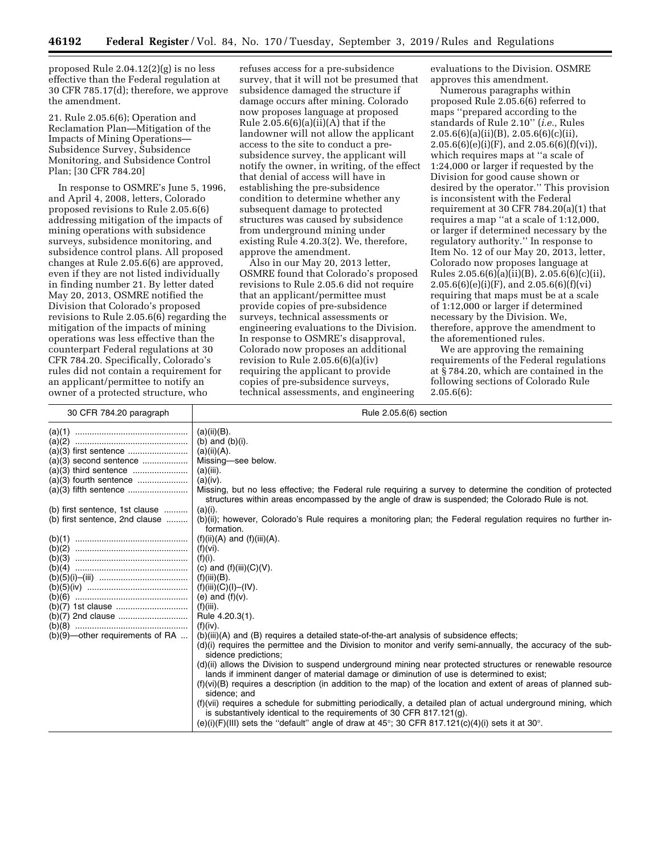proposed Rule 2.04.12(2)(g) is no less effective than the Federal regulation at 30 CFR 785.17(d); therefore, we approve the amendment.

21. Rule 2.05.6(6); Operation and Reclamation Plan—Mitigation of the Impacts of Mining Operations— Subsidence Survey, Subsidence Monitoring, and Subsidence Control Plan; [30 CFR 784.20]

In response to OSMRE's June 5, 1996, and April 4, 2008, letters, Colorado proposed revisions to Rule 2.05.6(6) addressing mitigation of the impacts of mining operations with subsidence surveys, subsidence monitoring, and subsidence control plans. All proposed changes at Rule 2.05.6(6) are approved, even if they are not listed individually in finding number 21. By letter dated May 20, 2013, OSMRE notified the Division that Colorado's proposed revisions to Rule 2.05.6(6) regarding the mitigation of the impacts of mining operations was less effective than the counterpart Federal regulations at 30 CFR 784.20. Specifically, Colorado's rules did not contain a requirement for an applicant/permittee to notify an owner of a protected structure, who

refuses access for a pre-subsidence survey, that it will not be presumed that subsidence damaged the structure if damage occurs after mining. Colorado now proposes language at proposed Rule  $2.05.6(6)(a)(ii)(A)$  that if the landowner will not allow the applicant access to the site to conduct a presubsidence survey, the applicant will notify the owner, in writing, of the effect that denial of access will have in establishing the pre-subsidence condition to determine whether any subsequent damage to protected structures was caused by subsidence from underground mining under existing Rule 4.20.3(2). We, therefore, approve the amendment.

Also in our May 20, 2013 letter, OSMRE found that Colorado's proposed revisions to Rule 2.05.6 did not require that an applicant/permittee must provide copies of pre-subsidence surveys, technical assessments or engineering evaluations to the Division. In response to OSMRE's disapproval, Colorado now proposes an additional revision to Rule 2.05.6(6)(a)(iv) requiring the applicant to provide copies of pre-subsidence surveys, technical assessments, and engineering

evaluations to the Division. OSMRE approves this amendment.

Numerous paragraphs within proposed Rule 2.05.6(6) referred to maps ''prepared according to the standards of Rule 2.10'' (*i.e.,* Rules  $2.05.6(6)(a)(ii)(B), 2.05.6(6)(c)(ii),$  $2.05.6(6)(e)(i)(F)$ , and  $2.05.6(6)(f)(vi)$ ), which requires maps at ''a scale of 1:24,000 or larger if requested by the Division for good cause shown or desired by the operator.'' This provision is inconsistent with the Federal requirement at 30 CFR 784.20(a)(1) that requires a map ''at a scale of 1:12,000, or larger if determined necessary by the regulatory authority.'' In response to Item No. 12 of our May 20, 2013, letter, Colorado now proposes language at Rules 2.05.6(6)(a)(ii)(B), 2.05.6(6)(c)(ii),  $2.05.6(6)(e)(i)(F)$ , and  $2.05.6(6)(f)(vi)$ requiring that maps must be at a scale of 1:12,000 or larger if determined necessary by the Division. We, therefore, approve the amendment to the aforementioned rules.

We are approving the remaining requirements of the Federal regulations at § 784.20, which are contained in the following sections of Colorado Rule 2.05.6(6):

| 30 CFR 784.20 paragraph                                          | Rule 2.05.6(6) section                                                                                                                                                                                                                                                                                                                                                                                                                                                                                                                                                                                                                                                                                                                                                                                                                                                                                             |
|------------------------------------------------------------------|--------------------------------------------------------------------------------------------------------------------------------------------------------------------------------------------------------------------------------------------------------------------------------------------------------------------------------------------------------------------------------------------------------------------------------------------------------------------------------------------------------------------------------------------------------------------------------------------------------------------------------------------------------------------------------------------------------------------------------------------------------------------------------------------------------------------------------------------------------------------------------------------------------------------|
| (b) first sentence, 1st clause<br>(b) first sentence, 2nd clause | $(a)(ii)(B)$ .<br>(b) and $(b)(i)$ .<br>(a)(ii)(A).<br>Missing-see below.<br>$(a)(iii)$ .<br>(a)(iv).<br>Missing, but no less effective; the Federal rule requiring a survey to determine the condition of protected<br>structures within areas encompassed by the angle of draw is suspended; the Colorado Rule is not.<br>$(a)(i)$ .<br>(b)(ii); however, Colorado's Rule requires a monitoring plan; the Federal regulation requires no further in-<br>formation.<br>$(f)(ii)(A)$ and $(f)(iii)(A)$ .<br>$(f)(vi)$ .<br>$(f)(i)$ .<br>(c) and $(f)(iii)(C)(V)$ .<br>$(f)(iii)(B)$ .<br>$(f)(iii)(C)(I) - (IV).$<br>(e) and $(f)(v)$ .<br>$(f)(iii)$ .<br>Rule 4.20.3(1).                                                                                                                                                                                                                                        |
| $(b)(9)$ -other requirements of RA                               | $(f)(iv)$ .<br>(b)(iii)(A) and (B) requires a detailed state-of-the-art analysis of subsidence effects;<br>(d)(i) requires the permittee and the Division to monitor and verify semi-annually, the accuracy of the sub-<br>sidence predictions;<br>(d) (ii) allows the Division to suspend underground mining near protected structures or renewable resource<br>lands if imminent danger of material damage or diminution of use is determined to exist;<br>$(f)(vi)(B)$ requires a description (in addition to the map) of the location and extent of areas of planned sub-<br>sidence; and<br>(f)(vii) requires a schedule for submitting periodically, a detailed plan of actual underground mining, which<br>is substantively identical to the requirements of 30 CFR 817.121 $(q)$ .<br>(e)(i)(F)(III) sets the "default" angle of draw at $45^{\circ}$ ; 30 CFR 817.121(c)(4)(i) sets it at 30 $^{\circ}$ . |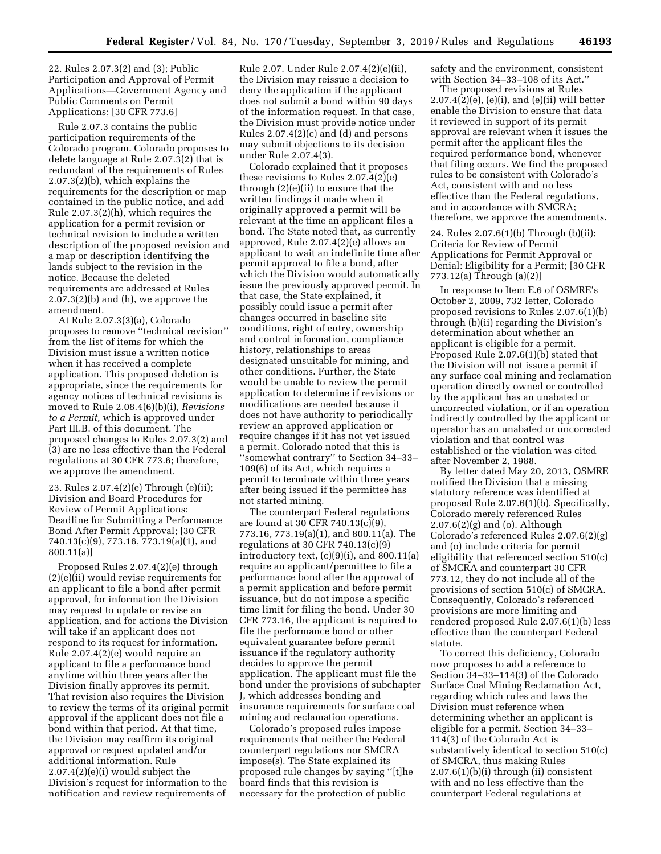22. Rules 2.07.3(2) and (3); Public Participation and Approval of Permit Applications—Government Agency and Public Comments on Permit Applications; [30 CFR 773.6]

Rule 2.07.3 contains the public participation requirements of the Colorado program. Colorado proposes to delete language at Rule 2.07.3(2) that is redundant of the requirements of Rules 2.07.3(2)(b), which explains the requirements for the description or map contained in the public notice, and add Rule 2.07.3(2)(h), which requires the application for a permit revision or technical revision to include a written description of the proposed revision and a map or description identifying the lands subject to the revision in the notice. Because the deleted requirements are addressed at Rules  $2.07.3(2)(b)$  and (h), we approve the amendment.

At Rule 2.07.3(3)(a), Colorado proposes to remove ''technical revision'' from the list of items for which the Division must issue a written notice when it has received a complete application. This proposed deletion is appropriate, since the requirements for agency notices of technical revisions is moved to Rule 2.08.4(6)(b)(i), *Revisions to a Permit,* which is approved under Part III.B. of this document. The proposed changes to Rules 2.07.3(2) and (3) are no less effective than the Federal regulations at 30 CFR 773.6; therefore, we approve the amendment.

23. Rules 2.07.4(2)(e) Through (e)(ii); Division and Board Procedures for Review of Permit Applications: Deadline for Submitting a Performance Bond After Permit Approval; [30 CFR 740.13(c)(9), 773.16, 773.19(a)(1), and 800.11(a)]

Proposed Rules 2.07.4(2)(e) through (2)(e)(ii) would revise requirements for an applicant to file a bond after permit approval, for information the Division may request to update or revise an application, and for actions the Division will take if an applicant does not respond to its request for information. Rule 2.07.4(2)(e) would require an applicant to file a performance bond anytime within three years after the Division finally approves its permit. That revision also requires the Division to review the terms of its original permit approval if the applicant does not file a bond within that period. At that time, the Division may reaffirm its original approval or request updated and/or additional information. Rule 2.07.4(2)(e)(i) would subject the Division's request for information to the notification and review requirements of

Rule 2.07. Under Rule 2.07.4(2)(e)(ii), the Division may reissue a decision to deny the application if the applicant does not submit a bond within 90 days of the information request. In that case, the Division must provide notice under Rules 2.07.4(2)(c) and (d) and persons may submit objections to its decision under Rule 2.07.4(3).

Colorado explained that it proposes these revisions to Rules 2.07.4(2)(e) through (2)(e)(ii) to ensure that the written findings it made when it originally approved a permit will be relevant at the time an applicant files a bond. The State noted that, as currently approved, Rule 2.07.4(2)(e) allows an applicant to wait an indefinite time after permit approval to file a bond, after which the Division would automatically issue the previously approved permit. In that case, the State explained, it possibly could issue a permit after changes occurred in baseline site conditions, right of entry, ownership and control information, compliance history, relationships to areas designated unsuitable for mining, and other conditions. Further, the State would be unable to review the permit application to determine if revisions or modifications are needed because it does not have authority to periodically review an approved application or require changes if it has not yet issued a permit. Colorado noted that this is ''somewhat contrary'' to Section 34–33– 109(6) of its Act, which requires a permit to terminate within three years after being issued if the permittee has not started mining.

The counterpart Federal regulations are found at 30 CFR 740.13(c)(9), 773.16, 773.19(a)(1), and 800.11(a). The regulations at 30 CFR 740.13(c)(9) introductory text,  $(c)(9)(i)$ , and 800.11 $(a)$ require an applicant/permittee to file a performance bond after the approval of a permit application and before permit issuance, but do not impose a specific time limit for filing the bond. Under 30 CFR 773.16, the applicant is required to file the performance bond or other equivalent guarantee before permit issuance if the regulatory authority decides to approve the permit application. The applicant must file the bond under the provisions of subchapter J, which addresses bonding and insurance requirements for surface coal mining and reclamation operations.

Colorado's proposed rules impose requirements that neither the Federal counterpart regulations nor SMCRA impose(s). The State explained its proposed rule changes by saying ''[t]he board finds that this revision is necessary for the protection of public

safety and the environment, consistent with Section 34–33–108 of its Act.''

The proposed revisions at Rules  $2.07.4(2)(e)$ ,  $(e)(i)$ , and  $(e)(ii)$  will better enable the Division to ensure that data it reviewed in support of its permit approval are relevant when it issues the permit after the applicant files the required performance bond, whenever that filing occurs. We find the proposed rules to be consistent with Colorado's Act, consistent with and no less effective than the Federal regulations, and in accordance with SMCRA; therefore, we approve the amendments.

24. Rules 2.07.6(1)(b) Through (b)(ii); Criteria for Review of Permit Applications for Permit Approval or Denial: Eligibility for a Permit; [30 CFR 773.12(a) Through (a)(2)]

In response to Item E.6 of OSMRE's October 2, 2009, 732 letter, Colorado proposed revisions to Rules 2.07.6(1)(b) through (b)(ii) regarding the Division's determination about whether an applicant is eligible for a permit. Proposed Rule 2.07.6(1)(b) stated that the Division will not issue a permit if any surface coal mining and reclamation operation directly owned or controlled by the applicant has an unabated or uncorrected violation, or if an operation indirectly controlled by the applicant or operator has an unabated or uncorrected violation and that control was established or the violation was cited after November 2, 1988.

By letter dated May 20, 2013, OSMRE notified the Division that a missing statutory reference was identified at proposed Rule 2.07.6(1)(b). Specifically, Colorado merely referenced Rules 2.07.6(2)(g) and (o). Although Colorado's referenced Rules 2.07.6(2)(g) and (o) include criteria for permit eligibility that referenced section 510(c) of SMCRA and counterpart 30 CFR 773.12, they do not include all of the provisions of section 510(c) of SMCRA. Consequently, Colorado's referenced provisions are more limiting and rendered proposed Rule 2.07.6(1)(b) less effective than the counterpart Federal statute.

To correct this deficiency, Colorado now proposes to add a reference to Section 34–33–114(3) of the Colorado Surface Coal Mining Reclamation Act, regarding which rules and laws the Division must reference when determining whether an applicant is eligible for a permit. Section 34–33– 114(3) of the Colorado Act is substantively identical to section 510(c) of SMCRA, thus making Rules 2.07.6(1)(b)(i) through (ii) consistent with and no less effective than the counterpart Federal regulations at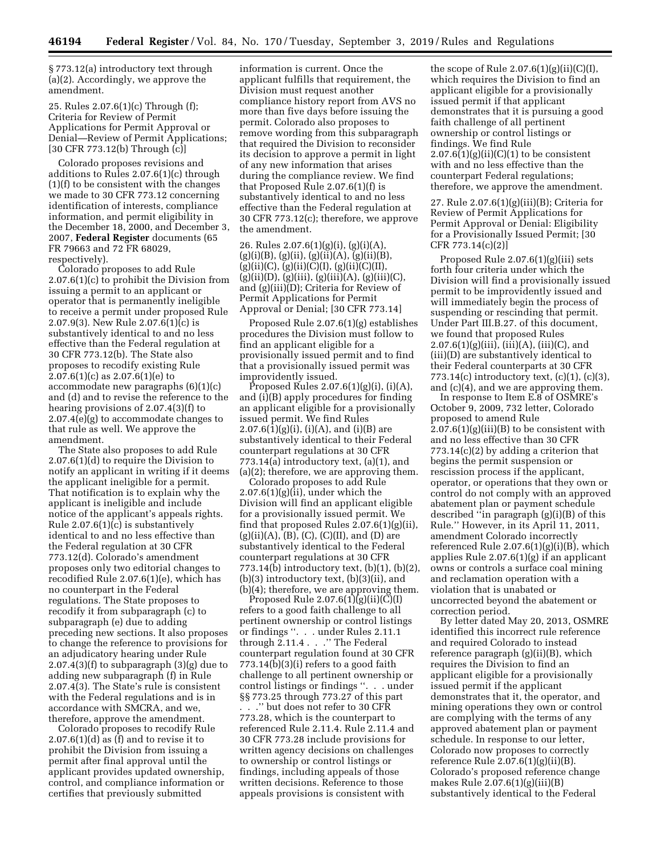§ 773.12(a) introductory text through (a)(2). Accordingly, we approve the amendment.

25. Rules 2.07.6(1)(c) Through (f); Criteria for Review of Permit Applications for Permit Approval or Denial—Review of Permit Applications; [30 CFR 773.12(b) Through (c)]

Colorado proposes revisions and additions to Rules 2.07.6(1)(c) through (1)(f) to be consistent with the changes we made to 30 CFR 773.12 concerning identification of interests, compliance information, and permit eligibility in the December 18, 2000, and December 3, 2007, **Federal Register** documents (65 FR 79663 and 72 FR 68029, respectively).

Colorado proposes to add Rule 2.07.6(1)(c) to prohibit the Division from issuing a permit to an applicant or operator that is permanently ineligible to receive a permit under proposed Rule 2.07.9(3). New Rule 2.07.6(1)(c) is substantively identical to and no less effective than the Federal regulation at 30 CFR 773.12(b). The State also proposes to recodify existing Rule  $2.07.6(1)(c)$  as  $2.07.6(1)(e)$  to accommodate new paragraphs (6)(1)(c) and (d) and to revise the reference to the hearing provisions of 2.07.4(3)(f) to 2.07.4(e)(g) to accommodate changes to that rule as well. We approve the amendment.

The State also proposes to add Rule 2.07.6(1)(d) to require the Division to notify an applicant in writing if it deems the applicant ineligible for a permit. That notification is to explain why the applicant is ineligible and include notice of the applicant's appeals rights. Rule 2.07.6(1)(c) is substantively identical to and no less effective than the Federal regulation at 30 CFR 773.12(d). Colorado's amendment proposes only two editorial changes to recodified Rule 2.07.6(1)(e), which has no counterpart in the Federal regulations. The State proposes to recodify it from subparagraph (c) to subparagraph (e) due to adding preceding new sections. It also proposes to change the reference to provisions for an adjudicatory hearing under Rule  $2.07.4(3)(f)$  to subparagraph  $(3)(g)$  due to adding new subparagraph (f) in Rule 2.07.4(3). The State's rule is consistent with the Federal regulations and is in accordance with SMCRA, and we, therefore, approve the amendment.

Colorado proposes to recodify Rule 2.07.6(1)(d) as (f) and to revise it to prohibit the Division from issuing a permit after final approval until the applicant provides updated ownership, control, and compliance information or certifies that previously submitted

information is current. Once the applicant fulfills that requirement, the Division must request another compliance history report from AVS no more than five days before issuing the permit. Colorado also proposes to remove wording from this subparagraph that required the Division to reconsider its decision to approve a permit in light of any new information that arises during the compliance review. We find that Proposed Rule 2.07.6(1)(f) is substantively identical to and no less effective than the Federal regulation at 30 CFR 773.12(c); therefore, we approve the amendment.

26. Rules 2.07.6(1)(g)(i), (g)(i)(A),  $(g)(i)(B)$ ,  $(g)(ii)$ ,  $(g)(ii)(A)$ ,  $(g)(ii)(B)$ ,  $(g)(ii)(C), (g)(ii)(C)(I), (g)(ii)(C)(II),$  $(g)(ii)(D), (g)(iii), (g)(iii)(A), (g)(iii)(C),$ and (g)(iii)(D); Criteria for Review of Permit Applications for Permit Approval or Denial; [30 CFR 773.14]

Proposed Rule 2.07.6(1)(g) establishes procedures the Division must follow to find an applicant eligible for a provisionally issued permit and to find that a provisionally issued permit was improvidently issued.

Proposed Rules  $2.07.6(1)(g)(i)$ ,  $(i)(A)$ , and (i)(B) apply procedures for finding an applicant eligible for a provisionally issued permit. We find Rules  $2.07.6(1)(g)(i)$ , (i)(A), and (i)(B) are substantively identical to their Federal counterpart regulations at 30 CFR 773.14(a) introductory text, (a)(1), and (a)(2); therefore, we are approving them.

Colorado proposes to add Rule  $2.07.6(1)(g)(ii)$ , under which the Division will find an applicant eligible for a provisionally issued permit. We find that proposed Rules 2.07.6(1)(g)(ii),  $(g)(ii)(A), (B), (C), (C)(II), and (D)$  are substantively identical to the Federal counterpart regulations at 30 CFR 773.14(b) introductory text, (b)(1), (b)(2), (b)(3) introductory text, (b)(3)(ii), and (b)(4); therefore, we are approving them.

Proposed Rule 2.07.6(1)(g)(ii)(C)(I) refers to a good faith challenge to all pertinent ownership or control listings or findings ''. . . under Rules 2.11.1 through 2.11.4 . . .'' The Federal counterpart regulation found at 30 CFR  $773.14(b)(3)(i)$  refers to a good faith challenge to all pertinent ownership or control listings or findings ''. . . under §§ 773.25 through 773.27 of this part . . .'' but does not refer to 30 CFR 773.28, which is the counterpart to referenced Rule 2.11.4. Rule 2.11.4 and 30 CFR 773.28 include provisions for written agency decisions on challenges to ownership or control listings or findings, including appeals of those written decisions. Reference to those appeals provisions is consistent with

the scope of Rule  $2.07.6(1)(g)(ii)(C)(I)$ , which requires the Division to find an applicant eligible for a provisionally issued permit if that applicant demonstrates that it is pursuing a good faith challenge of all pertinent ownership or control listings or findings. We find Rule  $2.07.6(1)(g)(ii)(C)(1)$  to be consistent with and no less effective than the counterpart Federal regulations; therefore, we approve the amendment.

27. Rule 2.07.6(1)(g)(iii)(B); Criteria for Review of Permit Applications for Permit Approval or Denial: Eligibility for a Provisionally Issued Permit; [30 CFR 773.14(c)(2)]

Proposed Rule 2.07.6(1)(g)(iii) sets forth four criteria under which the Division will find a provisionally issued permit to be improvidently issued and will immediately begin the process of suspending or rescinding that permit. Under Part III.B.27. of this document, we found that proposed Rules  $2.07.6(1)(g)(iii), (iii)(A), (iii)(C), and$ (iii)(D) are substantively identical to their Federal counterparts at 30 CFR 773.14(c) introductory text, (c)(1), (c)(3), and (c)(4), and we are approving them.

In response to Item E.8 of OSMRE's October 9, 2009, 732 letter, Colorado proposed to amend Rule  $2.07.6(1)(g)(iii)(B)$  to be consistent with and no less effective than 30 CFR 773.14(c)(2) by adding a criterion that begins the permit suspension or rescission process if the applicant, operator, or operations that they own or control do not comply with an approved abatement plan or payment schedule described ''in paragraph (g)(i)(B) of this Rule.'' However, in its April 11, 2011, amendment Colorado incorrectly referenced Rule 2.07.6(1)(g)(i)(B), which applies Rule 2.07.6(1)(g) if an applicant owns or controls a surface coal mining and reclamation operation with a violation that is unabated or uncorrected beyond the abatement or correction period.

By letter dated May 20, 2013, OSMRE identified this incorrect rule reference and required Colorado to instead reference paragraph (g)(ii)(B), which requires the Division to find an applicant eligible for a provisionally issued permit if the applicant demonstrates that it, the operator, and mining operations they own or control are complying with the terms of any approved abatement plan or payment schedule. In response to our letter, Colorado now proposes to correctly reference Rule 2.07.6(1)(g)(ii)(B). Colorado's proposed reference change makes Rule 2.07.6(1)(g)(iii)(B) substantively identical to the Federal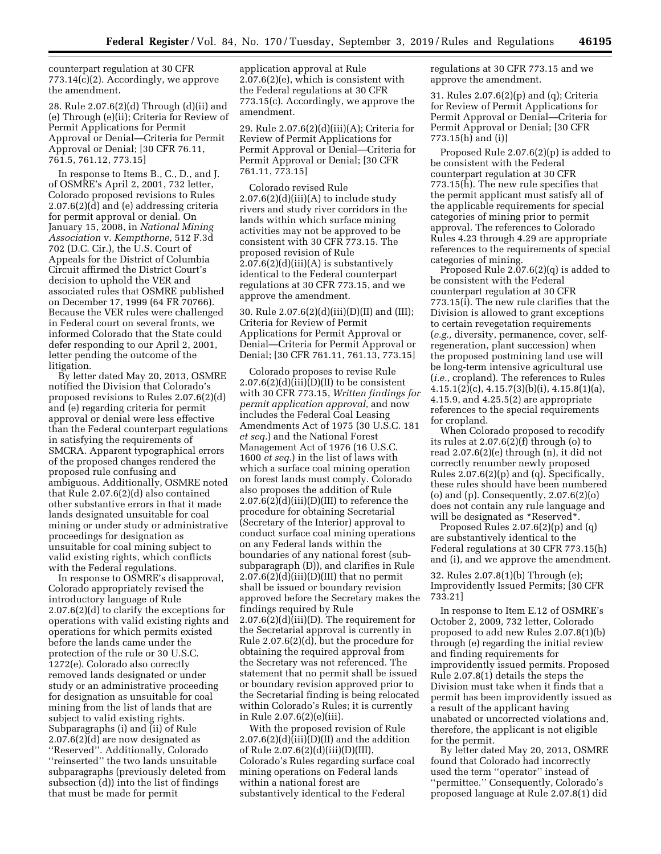counterpart regulation at 30 CFR 773.14(c)(2). Accordingly, we approve the amendment.

28. Rule 2.07.6(2)(d) Through (d)(ii) and (e) Through (e)(ii); Criteria for Review of Permit Applications for Permit Approval or Denial—Criteria for Permit Approval or Denial; [30 CFR 76.11, 761.5, 761.12, 773.15]

In response to Items B., C., D., and J. of OSMRE's April 2, 2001, 732 letter, Colorado proposed revisions to Rules 2.07.6(2)(d) and (e) addressing criteria for permit approval or denial. On January 15, 2008, in *National Mining Association* v. *Kempthorne,* 512 F.3d 702 (D.C. Cir.), the U.S. Court of Appeals for the District of Columbia Circuit affirmed the District Court's decision to uphold the VER and associated rules that OSMRE published on December 17, 1999 (64 FR 70766). Because the VER rules were challenged in Federal court on several fronts, we informed Colorado that the State could defer responding to our April 2, 2001, letter pending the outcome of the litigation.

By letter dated May 20, 2013, OSMRE notified the Division that Colorado's proposed revisions to Rules 2.07.6(2)(d) and (e) regarding criteria for permit approval or denial were less effective than the Federal counterpart regulations in satisfying the requirements of SMCRA. Apparent typographical errors of the proposed changes rendered the proposed rule confusing and ambiguous. Additionally, OSMRE noted that Rule 2.07.6(2)(d) also contained other substantive errors in that it made lands designated unsuitable for coal mining or under study or administrative proceedings for designation as unsuitable for coal mining subject to valid existing rights, which conflicts with the Federal regulations.

In response to OSMRE's disapproval, Colorado appropriately revised the introductory language of Rule 2.07.6(2)(d) to clarify the exceptions for operations with valid existing rights and operations for which permits existed before the lands came under the protection of the rule or 30 U.S.C. 1272(e). Colorado also correctly removed lands designated or under study or an administrative proceeding for designation as unsuitable for coal mining from the list of lands that are subject to valid existing rights. Subparagraphs (i) and (ii) of Rule 2.07.6(2)(d) are now designated as ''Reserved''. Additionally, Colorado ''reinserted'' the two lands unsuitable subparagraphs (previously deleted from subsection (d)) into the list of findings that must be made for permit

application approval at Rule 2.07.6(2)(e), which is consistent with the Federal regulations at 30 CFR 773.15(c). Accordingly, we approve the amendment.

29. Rule 2.07.6(2)(d)(iii)(A); Criteria for Review of Permit Applications for Permit Approval or Denial—Criteria for Permit Approval or Denial; [30 CFR 761.11, 773.15]

Colorado revised Rule  $2.07.6(2)(d)(iii)(A)$  to include study rivers and study river corridors in the lands within which surface mining activities may not be approved to be consistent with 30 CFR 773.15. The proposed revision of Rule  $2.07.6(2)(d)(iii)(A)$  is substantively identical to the Federal counterpart regulations at 30 CFR 773.15, and we approve the amendment.

30. Rule 2.07.6(2)(d)(iii)(D)(II) and (III); Criteria for Review of Permit Applications for Permit Approval or Denial—Criteria for Permit Approval or Denial; [30 CFR 761.11, 761.13, 773.15]

Colorado proposes to revise Rule  $2.07.6(2)(d)(iii)(D)(II)$  to be consistent with 30 CFR 773.15, *Written findings for permit application approval,* and now includes the Federal Coal Leasing Amendments Act of 1975 (30 U.S.C. 181 *et seq.*) and the National Forest Management Act of 1976 (16 U.S.C. 1600 *et seq.*) in the list of laws with which a surface coal mining operation on forest lands must comply. Colorado also proposes the addition of Rule  $2.07.6(2)(d)(iii)(D)(III)$  to reference the procedure for obtaining Secretarial (Secretary of the Interior) approval to conduct surface coal mining operations on any Federal lands within the boundaries of any national forest (subsubparagraph (D)), and clarifies in Rule  $2.07.6(2)(d)(iii)(D)(III)$  that no permit shall be issued or boundary revision approved before the Secretary makes the findings required by Rule 2.07.6(2)(d)(iii)(D). The requirement for the Secretarial approval is currently in Rule 2.07.6(2)(d), but the procedure for obtaining the required approval from the Secretary was not referenced. The statement that no permit shall be issued or boundary revision approved prior to the Secretarial finding is being relocated within Colorado's Rules; it is currently in Rule 2.07.6(2)(e)(iii).

With the proposed revision of Rule  $2.07.6(2)(d)(iii)(D)(II)$  and the addition of Rule 2.07.6(2)(d)(iii)(D)(III), Colorado's Rules regarding surface coal mining operations on Federal lands within a national forest are substantively identical to the Federal

regulations at 30 CFR 773.15 and we approve the amendment.

31. Rules 2.07.6(2)(p) and (q); Criteria for Review of Permit Applications for Permit Approval or Denial—Criteria for Permit Approval or Denial; [30 CFR 773.15(h) and (i)]

Proposed Rule 2.07.6(2)(p) is added to be consistent with the Federal counterpart regulation at 30 CFR 773.15(h). The new rule specifies that the permit applicant must satisfy all of the applicable requirements for special categories of mining prior to permit approval. The references to Colorado Rules 4.23 through 4.29 are appropriate references to the requirements of special categories of mining.

Proposed Rule 2.07.6(2)(q) is added to be consistent with the Federal counterpart regulation at 30 CFR 773.15(i). The new rule clarifies that the Division is allowed to grant exceptions to certain revegetation requirements (*e.g.,* diversity, permanence, cover, selfregeneration, plant succession) when the proposed postmining land use will be long-term intensive agricultural use (*i.e.,* cropland). The references to Rules  $4.15.1(2)(c), 4.15.7(3)(b)(i), 4.15.8(1)(a),$ 4.15.9, and 4.25.5(2) are appropriate references to the special requirements for cropland.

When Colorado proposed to recodify its rules at 2.07.6(2)(f) through (o) to read 2.07.6(2)(e) through (n), it did not correctly renumber newly proposed Rules 2.07.6(2)(p) and (q). Specifically, these rules should have been numbered (o) and (p). Consequently, 2.07.6(2)(o) does not contain any rule language and will be designated as \*Reserved\*

Proposed Rules 2.07.6(2)(p) and (q) are substantively identical to the Federal regulations at 30 CFR 773.15(h) and (i), and we approve the amendment.

32. Rules 2.07.8(1)(b) Through (e); Improvidently Issued Permits; [30 CFR 733.21]

In response to Item E.12 of OSMRE's October 2, 2009, 732 letter, Colorado proposed to add new Rules 2.07.8(1)(b) through (e) regarding the initial review and finding requirements for improvidently issued permits. Proposed Rule 2.07.8(1) details the steps the Division must take when it finds that a permit has been improvidently issued as a result of the applicant having unabated or uncorrected violations and, therefore, the applicant is not eligible for the permit.

By letter dated May 20, 2013, OSMRE found that Colorado had incorrectly used the term ''operator'' instead of ''permittee.'' Consequently, Colorado's proposed language at Rule 2.07.8(1) did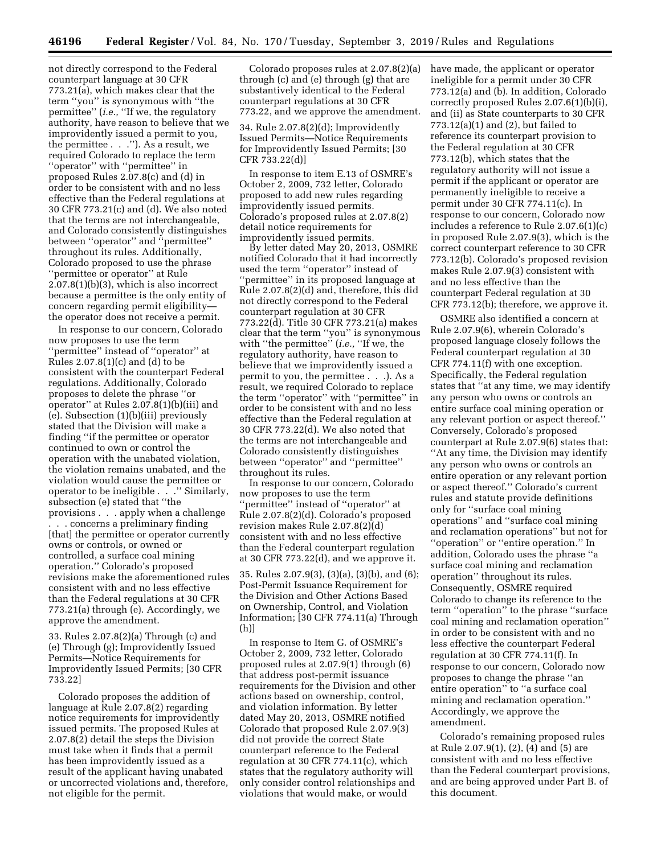not directly correspond to the Federal counterpart language at 30 CFR 773.21(a), which makes clear that the term ''you'' is synonymous with ''the permittee'' (*i.e.,* ''If we, the regulatory authority, have reason to believe that we improvidently issued a permit to you, the permittee . . .''). As a result, we required Colorado to replace the term ''operator'' with ''permittee'' in proposed Rules 2.07.8(c) and (d) in order to be consistent with and no less effective than the Federal regulations at 30 CFR 773.21(c) and (d). We also noted that the terms are not interchangeable, and Colorado consistently distinguishes between ''operator'' and ''permittee'' throughout its rules. Additionally, Colorado proposed to use the phrase ''permittee or operator'' at Rule  $2.07.8(1)(b)(3)$ , which is also incorrect because a permittee is the only entity of concern regarding permit eligibility the operator does not receive a permit.

In response to our concern, Colorado now proposes to use the term ''permittee'' instead of ''operator'' at Rules  $2.07.8(1)(c)$  and  $(d)$  to be consistent with the counterpart Federal regulations. Additionally, Colorado proposes to delete the phrase ''or operator'' at Rules 2.07.8(1)(b)(iii) and (e). Subsection (1)(b)(iii) previously stated that the Division will make a finding ''if the permittee or operator continued to own or control the operation with the unabated violation, the violation remains unabated, and the violation would cause the permittee or operator to be ineligible . . .'' Similarly, subsection (e) stated that ''the provisions . . . apply when a challenge . . . concerns a preliminary finding [that] the permittee or operator currently owns or controls, or owned or controlled, a surface coal mining operation.'' Colorado's proposed revisions make the aforementioned rules consistent with and no less effective than the Federal regulations at 30 CFR 773.21(a) through (e). Accordingly, we approve the amendment.

33. Rules 2.07.8(2)(a) Through (c) and (e) Through (g); Improvidently Issued Permits—Notice Requirements for Improvidently Issued Permits; [30 CFR 733.22]

Colorado proposes the addition of language at Rule 2.07.8(2) regarding notice requirements for improvidently issued permits. The proposed Rules at 2.07.8(2) detail the steps the Division must take when it finds that a permit has been improvidently issued as a result of the applicant having unabated or uncorrected violations and, therefore, not eligible for the permit.

Colorado proposes rules at 2.07.8(2)(a) through (c) and (e) through (g) that are substantively identical to the Federal counterpart regulations at 30 CFR 773.22, and we approve the amendment.

34. Rule 2.07.8(2)(d); Improvidently Issued Permits—Notice Requirements for Improvidently Issued Permits; [30 CFR 733.22(d)]

In response to item E.13 of OSMRE's October 2, 2009, 732 letter, Colorado proposed to add new rules regarding improvidently issued permits. Colorado's proposed rules at 2.07.8(2) detail notice requirements for improvidently issued permits.

By letter dated May 20, 2013, OSMRE notified Colorado that it had incorrectly used the term ''operator'' instead of ''permittee'' in its proposed language at Rule 2.07.8(2)(d) and, therefore, this did not directly correspond to the Federal counterpart regulation at 30 CFR 773.22(d). Title 30 CFR 773.21(a) makes clear that the term ''you'' is synonymous with ''the permittee'' (*i.e.,* ''If we, the regulatory authority, have reason to believe that we improvidently issued a permit to you, the permittee . . .). As a result, we required Colorado to replace the term ''operator'' with ''permittee'' in order to be consistent with and no less effective than the Federal regulation at 30 CFR 773.22(d). We also noted that the terms are not interchangeable and Colorado consistently distinguishes between ''operator'' and ''permittee'' throughout its rules.

In response to our concern, Colorado now proposes to use the term ''permittee'' instead of ''operator'' at Rule 2.07.8(2)(d). Colorado's proposed revision makes Rule 2.07.8(2)(d) consistent with and no less effective than the Federal counterpart regulation at 30 CFR 773.22(d), and we approve it.

35. Rules 2.07.9(3), (3)(a), (3)(b), and (6); Post-Permit Issuance Requirement for the Division and Other Actions Based on Ownership, Control, and Violation Information; [30 CFR 774.11(a) Through (h)]

In response to Item G. of OSMRE's October 2, 2009, 732 letter, Colorado proposed rules at 2.07.9(1) through (6) that address post-permit issuance requirements for the Division and other actions based on ownership, control, and violation information. By letter dated May 20, 2013, OSMRE notified Colorado that proposed Rule 2.07.9(3) did not provide the correct State counterpart reference to the Federal regulation at 30 CFR 774.11(c), which states that the regulatory authority will only consider control relationships and violations that would make, or would

have made, the applicant or operator ineligible for a permit under 30 CFR 773.12(a) and (b). In addition, Colorado correctly proposed Rules 2.07.6(1)(b)(i), and (ii) as State counterparts to 30 CFR 773.12(a)(1) and (2), but failed to reference its counterpart provision to the Federal regulation at 30 CFR 773.12(b), which states that the regulatory authority will not issue a permit if the applicant or operator are permanently ineligible to receive a permit under 30 CFR 774.11(c). In response to our concern, Colorado now includes a reference to Rule 2.07.6(1)(c) in proposed Rule 2.07.9(3), which is the correct counterpart reference to 30 CFR 773.12(b). Colorado's proposed revision makes Rule 2.07.9(3) consistent with and no less effective than the counterpart Federal regulation at 30 CFR 773.12(b); therefore, we approve it.

OSMRE also identified a concern at Rule 2.07.9(6), wherein Colorado's proposed language closely follows the Federal counterpart regulation at 30 CFR 774.11(f) with one exception. Specifically, the Federal regulation states that ''at any time, we may identify any person who owns or controls an entire surface coal mining operation or any relevant portion or aspect thereof.'' Conversely, Colorado's proposed counterpart at Rule 2.07.9(6) states that: ''At any time, the Division may identify any person who owns or controls an entire operation or any relevant portion or aspect thereof.'' Colorado's current rules and statute provide definitions only for ''surface coal mining operations'' and ''surface coal mining and reclamation operations'' but not for ''operation'' or ''entire operation.'' In addition, Colorado uses the phrase ''a surface coal mining and reclamation operation'' throughout its rules. Consequently, OSMRE required Colorado to change its reference to the term ''operation'' to the phrase ''surface coal mining and reclamation operation'' in order to be consistent with and no less effective the counterpart Federal regulation at 30 CFR 774.11(f). In response to our concern, Colorado now proposes to change the phrase ''an entire operation'' to ''a surface coal mining and reclamation operation.'' Accordingly, we approve the amendment.

Colorado's remaining proposed rules at Rule 2.07.9(1), (2), (4) and (5) are consistent with and no less effective than the Federal counterpart provisions, and are being approved under Part B. of this document.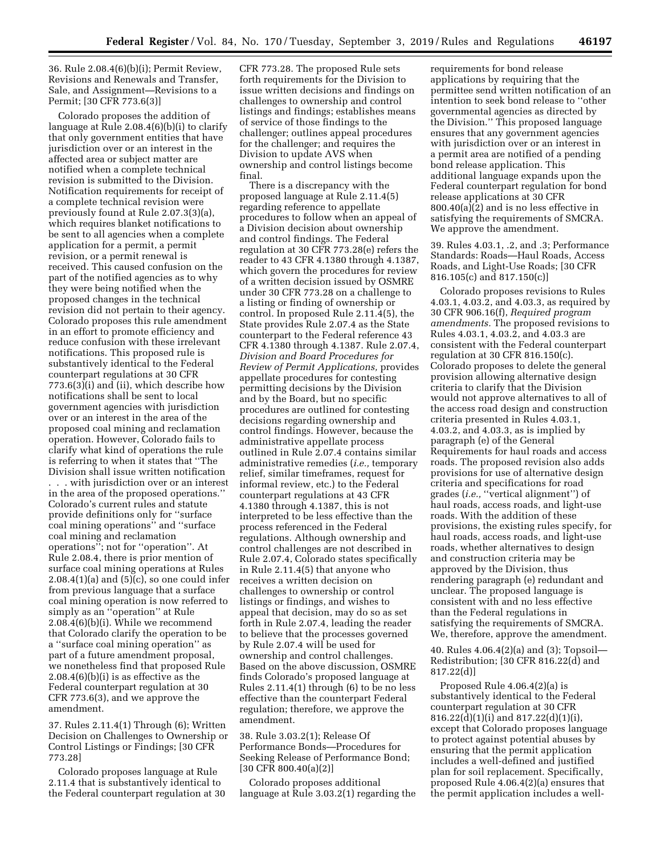36. Rule 2.08.4(6)(b)(i); Permit Review, Revisions and Renewals and Transfer, Sale, and Assignment—Revisions to a Permit; [30 CFR 773.6(3)]

Colorado proposes the addition of language at Rule 2.08.4(6)(b)(i) to clarify that only government entities that have jurisdiction over or an interest in the affected area or subject matter are notified when a complete technical revision is submitted to the Division. Notification requirements for receipt of a complete technical revision were previously found at Rule 2.07.3(3)(a), which requires blanket notifications to be sent to all agencies when a complete application for a permit, a permit revision, or a permit renewal is received. This caused confusion on the part of the notified agencies as to why they were being notified when the proposed changes in the technical revision did not pertain to their agency. Colorado proposes this rule amendment in an effort to promote efficiency and reduce confusion with these irrelevant notifications. This proposed rule is substantively identical to the Federal counterpart regulations at 30 CFR 773.6(3)(i) and (ii), which describe how notifications shall be sent to local government agencies with jurisdiction over or an interest in the area of the proposed coal mining and reclamation operation. However, Colorado fails to clarify what kind of operations the rule is referring to when it states that ''The Division shall issue written notification . . . with jurisdiction over or an interest in the area of the proposed operations.'' Colorado's current rules and statute provide definitions only for ''surface coal mining operations'' and ''surface coal mining and reclamation operations''; not for ''operation''. At Rule 2.08.4, there is prior mention of surface coal mining operations at Rules  $2.08.4(1)(a)$  and  $(5)(c)$ , so one could infer from previous language that a surface coal mining operation is now referred to simply as an ''operation'' at Rule 2.08.4(6)(b)(i). While we recommend that Colorado clarify the operation to be a ''surface coal mining operation'' as part of a future amendment proposal, we nonetheless find that proposed Rule 2.08.4(6)(b)(i) is as effective as the Federal counterpart regulation at 30 CFR 773.6(3), and we approve the amendment.

37. Rules 2.11.4(1) Through (6); Written Decision on Challenges to Ownership or Control Listings or Findings; [30 CFR 773.28]

Colorado proposes language at Rule 2.11.4 that is substantively identical to the Federal counterpart regulation at 30 CFR 773.28. The proposed Rule sets forth requirements for the Division to issue written decisions and findings on challenges to ownership and control listings and findings; establishes means of service of those findings to the challenger; outlines appeal procedures for the challenger; and requires the Division to update AVS when ownership and control listings become final.

There is a discrepancy with the proposed language at Rule 2.11.4(5) regarding reference to appellate procedures to follow when an appeal of a Division decision about ownership and control findings. The Federal regulation at 30 CFR 773.28(e) refers the reader to 43 CFR 4.1380 through 4.1387, which govern the procedures for review of a written decision issued by OSMRE under 30 CFR 773.28 on a challenge to a listing or finding of ownership or control. In proposed Rule 2.11.4(5), the State provides Rule 2.07.4 as the State counterpart to the Federal reference 43 CFR 4.1380 through 4.1387. Rule 2.07.4, *Division and Board Procedures for Review of Permit Applications,* provides appellate procedures for contesting permitting decisions by the Division and by the Board, but no specific procedures are outlined for contesting decisions regarding ownership and control findings. However, because the administrative appellate process outlined in Rule 2.07.4 contains similar administrative remedies (*i.e.,* temporary relief, similar timeframes, request for informal review, etc.) to the Federal counterpart regulations at 43 CFR 4.1380 through 4.1387, this is not interpreted to be less effective than the process referenced in the Federal regulations. Although ownership and control challenges are not described in Rule 2.07.4, Colorado states specifically in Rule 2.11.4(5) that anyone who receives a written decision on challenges to ownership or control listings or findings, and wishes to appeal that decision, may do so as set forth in Rule 2.07.4, leading the reader to believe that the processes governed by Rule 2.07.4 will be used for ownership and control challenges. Based on the above discussion, OSMRE finds Colorado's proposed language at Rules 2.11.4(1) through (6) to be no less effective than the counterpart Federal regulation; therefore, we approve the amendment.

38. Rule 3.03.2(1); Release Of Performance Bonds—Procedures for Seeking Release of Performance Bond; [30 CFR 800.40(a)(2)]

Colorado proposes additional language at Rule 3.03.2(1) regarding the requirements for bond release applications by requiring that the permittee send written notification of an intention to seek bond release to ''other governmental agencies as directed by the Division.'' This proposed language ensures that any government agencies with jurisdiction over or an interest in a permit area are notified of a pending bond release application. This additional language expands upon the Federal counterpart regulation for bond release applications at 30 CFR 800.40(a)(2) and is no less effective in satisfying the requirements of SMCRA. We approve the amendment.

39. Rules 4.03.1, .2, and .3; Performance Standards: Roads—Haul Roads, Access Roads, and Light-Use Roads; [30 CFR 816.105(c) and 817.150(c)]

Colorado proposes revisions to Rules 4.03.1, 4.03.2, and 4.03.3, as required by 30 CFR 906.16(f), *Required program amendments.* The proposed revisions to Rules 4.03.1, 4.03.2, and 4.03.3 are consistent with the Federal counterpart regulation at 30 CFR 816.150(c). Colorado proposes to delete the general provision allowing alternative design criteria to clarify that the Division would not approve alternatives to all of the access road design and construction criteria presented in Rules 4.03.1, 4.03.2, and 4.03.3, as is implied by paragraph (e) of the General Requirements for haul roads and access roads. The proposed revision also adds provisions for use of alternative design criteria and specifications for road grades (*i.e.,* ''vertical alignment'') of haul roads, access roads, and light-use roads. With the addition of these provisions, the existing rules specify, for haul roads, access roads, and light-use roads, whether alternatives to design and construction criteria may be approved by the Division, thus rendering paragraph (e) redundant and unclear. The proposed language is consistent with and no less effective than the Federal regulations in satisfying the requirements of SMCRA. We, therefore, approve the amendment.

40. Rules 4.06.4(2)(a) and (3); Topsoil— Redistribution; [30 CFR 816.22(d) and 817.22(d)]

Proposed Rule 4.06.4(2)(a) is substantively identical to the Federal counterpart regulation at 30 CFR 816.22(d)(1)(i) and 817.22(d)(1)(i), except that Colorado proposes language to protect against potential abuses by ensuring that the permit application includes a well-defined and justified plan for soil replacement. Specifically, proposed Rule 4.06.4(2)(a) ensures that the permit application includes a well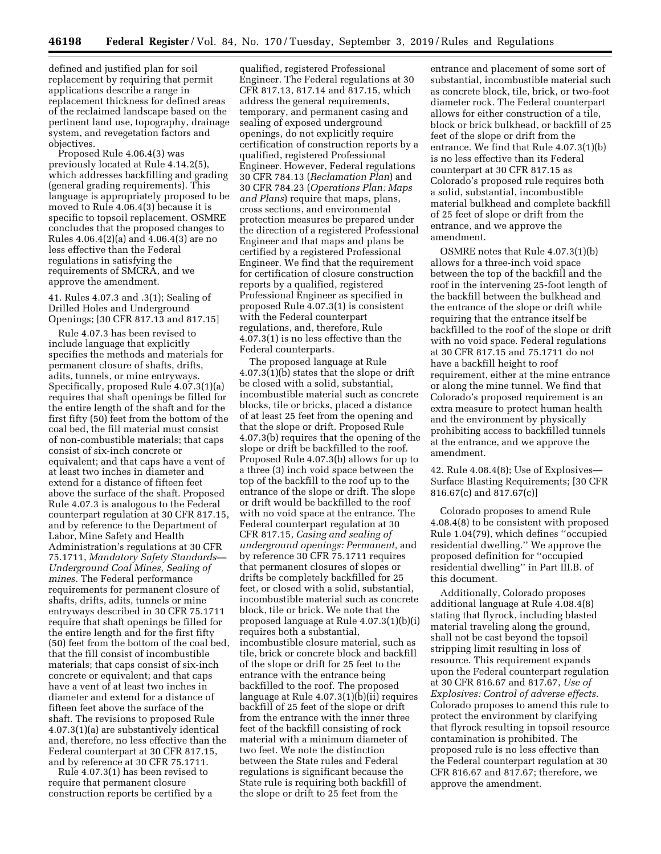defined and justified plan for soil replacement by requiring that permit applications describe a range in replacement thickness for defined areas of the reclaimed landscape based on the pertinent land use, topography, drainage system, and revegetation factors and objectives.

Proposed Rule 4.06.4(3) was previously located at Rule 4.14.2(5), which addresses backfilling and grading (general grading requirements). This language is appropriately proposed to be moved to Rule 4.06.4(3) because it is specific to topsoil replacement. OSMRE concludes that the proposed changes to Rules 4.06.4(2)(a) and 4.06.4(3) are no less effective than the Federal regulations in satisfying the requirements of SMCRA, and we approve the amendment.

41. Rules 4.07.3 and .3(1); Sealing of Drilled Holes and Underground Openings; [30 CFR 817.13 and 817.15]

Rule 4.07.3 has been revised to include language that explicitly specifies the methods and materials for permanent closure of shafts, drifts, adits, tunnels, or mine entryways. Specifically, proposed Rule 4.07.3(1)(a) requires that shaft openings be filled for the entire length of the shaft and for the first fifty (50) feet from the bottom of the coal bed, the fill material must consist of non-combustible materials; that caps consist of six-inch concrete or equivalent; and that caps have a vent of at least two inches in diameter and extend for a distance of fifteen feet above the surface of the shaft. Proposed Rule 4.07.3 is analogous to the Federal counterpart regulation at 30 CFR 817.15, and by reference to the Department of Labor, Mine Safety and Health Administration's regulations at 30 CFR 75.1711, *Mandatory Safety Standards— Underground Coal Mines, Sealing of mines.* The Federal performance requirements for permanent closure of shafts, drifts, adits, tunnels or mine entryways described in 30 CFR 75.1711 require that shaft openings be filled for the entire length and for the first fifty (50) feet from the bottom of the coal bed, that the fill consist of incombustible materials; that caps consist of six-inch concrete or equivalent; and that caps have a vent of at least two inches in diameter and extend for a distance of fifteen feet above the surface of the shaft. The revisions to proposed Rule 4.07.3(1)(a) are substantively identical and, therefore, no less effective than the Federal counterpart at 30 CFR 817.15, and by reference at 30 CFR 75.1711.

Rule 4.07.3(1) has been revised to require that permanent closure construction reports be certified by a

qualified, registered Professional Engineer. The Federal regulations at 30 CFR 817.13, 817.14 and 817.15, which address the general requirements, temporary, and permanent casing and sealing of exposed underground openings, do not explicitly require certification of construction reports by a qualified, registered Professional Engineer. However, Federal regulations 30 CFR 784.13 (*Reclamation Plan*) and 30 CFR 784.23 (*Operations Plan: Maps and Plans*) require that maps, plans, cross sections, and environmental protection measures be prepared under the direction of a registered Professional Engineer and that maps and plans be certified by a registered Professional Engineer. We find that the requirement for certification of closure construction reports by a qualified, registered Professional Engineer as specified in proposed Rule 4.07.3(1) is consistent with the Federal counterpart regulations, and, therefore, Rule 4.07.3(1) is no less effective than the Federal counterparts.

The proposed language at Rule 4.07.3(1)(b) states that the slope or drift be closed with a solid, substantial, incombustible material such as concrete blocks, tile or bricks, placed a distance of at least 25 feet from the opening and that the slope or drift. Proposed Rule 4.07.3(b) requires that the opening of the slope or drift be backfilled to the roof. Proposed Rule 4.07.3(b) allows for up to a three (3) inch void space between the top of the backfill to the roof up to the entrance of the slope or drift. The slope or drift would be backfilled to the roof with no void space at the entrance. The Federal counterpart regulation at 30 CFR 817.15, *Casing and sealing of underground openings: Permanent,* and by reference 30 CFR 75.1711 requires that permanent closures of slopes or drifts be completely backfilled for 25 feet, or closed with a solid, substantial, incombustible material such as concrete block, tile or brick. We note that the proposed language at Rule 4.07.3(1)(b)(i) requires both a substantial, incombustible closure material, such as tile, brick or concrete block and backfill of the slope or drift for 25 feet to the entrance with the entrance being backfilled to the roof. The proposed language at Rule 4.07.3(1)(b)(ii) requires backfill of 25 feet of the slope or drift from the entrance with the inner three feet of the backfill consisting of rock material with a minimum diameter of two feet. We note the distinction between the State rules and Federal regulations is significant because the State rule is requiring both backfill of the slope or drift to 25 feet from the

entrance and placement of some sort of substantial, incombustible material such as concrete block, tile, brick, or two-foot diameter rock. The Federal counterpart allows for either construction of a tile, block or brick bulkhead, or backfill of 25 feet of the slope or drift from the entrance. We find that Rule 4.07.3(1)(b) is no less effective than its Federal counterpart at 30 CFR 817.15 as Colorado's proposed rule requires both a solid, substantial, incombustible material bulkhead and complete backfill of 25 feet of slope or drift from the entrance, and we approve the amendment.

OSMRE notes that Rule 4.07.3(1)(b) allows for a three-inch void space between the top of the backfill and the roof in the intervening 25-foot length of the backfill between the bulkhead and the entrance of the slope or drift while requiring that the entrance itself be backfilled to the roof of the slope or drift with no void space. Federal regulations at 30 CFR 817.15 and 75.1711 do not have a backfill height to roof requirement, either at the mine entrance or along the mine tunnel. We find that Colorado's proposed requirement is an extra measure to protect human health and the environment by physically prohibiting access to backfilled tunnels at the entrance, and we approve the amendment.

42. Rule 4.08.4(8); Use of Explosives— Surface Blasting Requirements; [30 CFR 816.67(c) and 817.67(c)]

Colorado proposes to amend Rule 4.08.4(8) to be consistent with proposed Rule 1.04(79), which defines ''occupied residential dwelling.'' We approve the proposed definition for ''occupied residential dwelling'' in Part III.B. of this document.

Additionally, Colorado proposes additional language at Rule 4.08.4(8) stating that flyrock, including blasted material traveling along the ground, shall not be cast beyond the topsoil stripping limit resulting in loss of resource. This requirement expands upon the Federal counterpart regulation at 30 CFR 816.67 and 817.67, *Use of Explosives: Control of adverse effects.*  Colorado proposes to amend this rule to protect the environment by clarifying that flyrock resulting in topsoil resource contamination is prohibited. The proposed rule is no less effective than the Federal counterpart regulation at 30 CFR 816.67 and 817.67; therefore, we approve the amendment.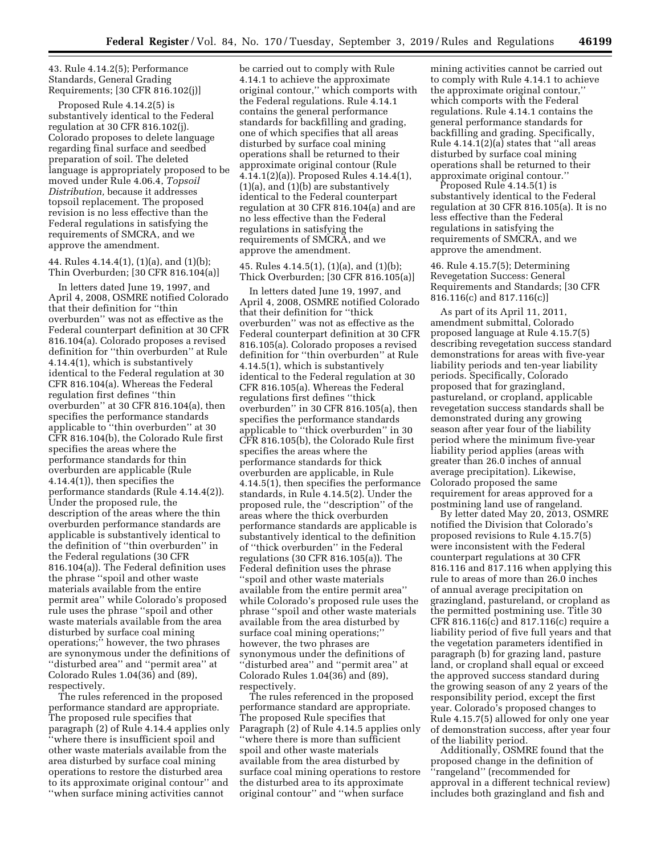43. Rule 4.14.2(5); Performance Standards, General Grading Requirements; [30 CFR 816.102(j)]

Proposed Rule 4.14.2(5) is substantively identical to the Federal regulation at 30 CFR 816.102(j). Colorado proposes to delete language regarding final surface and seedbed preparation of soil. The deleted language is appropriately proposed to be moved under Rule 4.06.4, *Topsoil Distribution,* because it addresses topsoil replacement. The proposed revision is no less effective than the Federal regulations in satisfying the requirements of SMCRA, and we approve the amendment.

44. Rules 4.14.4(1), (1)(a), and (1)(b); Thin Overburden; [30 CFR 816.104(a)]

In letters dated June 19, 1997, and April 4, 2008, OSMRE notified Colorado that their definition for ''thin overburden'' was not as effective as the Federal counterpart definition at 30 CFR 816.104(a). Colorado proposes a revised definition for ''thin overburden'' at Rule 4.14.4(1), which is substantively identical to the Federal regulation at 30 CFR 816.104(a). Whereas the Federal regulation first defines ''thin overburden'' at 30 CFR 816.104(a), then specifies the performance standards applicable to ''thin overburden'' at 30 CFR 816.104(b), the Colorado Rule first specifies the areas where the performance standards for thin overburden are applicable (Rule 4.14.4(1)), then specifies the performance standards (Rule 4.14.4(2)). Under the proposed rule, the description of the areas where the thin overburden performance standards are applicable is substantively identical to the definition of ''thin overburden'' in the Federal regulations (30 CFR 816.104(a)). The Federal definition uses the phrase ''spoil and other waste materials available from the entire permit area'' while Colorado's proposed rule uses the phrase ''spoil and other waste materials available from the area disturbed by surface coal mining operations;'' however, the two phrases are synonymous under the definitions of ''disturbed area'' and ''permit area'' at Colorado Rules 1.04(36) and (89), respectively.

The rules referenced in the proposed performance standard are appropriate. The proposed rule specifies that paragraph (2) of Rule 4.14.4 applies only ''where there is insufficient spoil and other waste materials available from the area disturbed by surface coal mining operations to restore the disturbed area to its approximate original contour'' and ''when surface mining activities cannot

be carried out to comply with Rule 4.14.1 to achieve the approximate original contour,'' which comports with the Federal regulations. Rule 4.14.1 contains the general performance standards for backfilling and grading, one of which specifies that all areas disturbed by surface coal mining operations shall be returned to their approximate original contour (Rule 4.14.1(2)(a)). Proposed Rules 4.14.4(1), (1)(a), and (1)(b) are substantively identical to the Federal counterpart regulation at 30 CFR 816.104(a) and are no less effective than the Federal regulations in satisfying the requirements of SMCRA, and we approve the amendment.

45. Rules 4.14.5(1), (1)(a), and (1)(b); Thick Overburden; [30 CFR 816.105(a)]

In letters dated June 19, 1997, and April 4, 2008, OSMRE notified Colorado that their definition for ''thick overburden'' was not as effective as the Federal counterpart definition at 30 CFR 816.105(a). Colorado proposes a revised definition for ''thin overburden'' at Rule 4.14.5(1), which is substantively identical to the Federal regulation at 30 CFR 816.105(a). Whereas the Federal regulations first defines ''thick overburden'' in 30 CFR 816.105(a), then specifies the performance standards applicable to ''thick overburden'' in 30 CFR 816.105(b), the Colorado Rule first specifies the areas where the performance standards for thick overburden are applicable, in Rule 4.14.5(1), then specifies the performance standards, in Rule 4.14.5(2). Under the proposed rule, the ''description'' of the areas where the thick overburden performance standards are applicable is substantively identical to the definition of ''thick overburden'' in the Federal regulations (30 CFR 816.105(a)). The Federal definition uses the phrase ''spoil and other waste materials available from the entire permit area'' while Colorado's proposed rule uses the phrase ''spoil and other waste materials available from the area disturbed by surface coal mining operations;'' however, the two phrases are synonymous under the definitions of ''disturbed area'' and ''permit area'' at Colorado Rules 1.04(36) and (89), respectively.

The rules referenced in the proposed performance standard are appropriate. The proposed Rule specifies that Paragraph (2) of Rule 4.14.5 applies only ''where there is more than sufficient spoil and other waste materials available from the area disturbed by surface coal mining operations to restore the disturbed area to its approximate original contour'' and ''when surface

mining activities cannot be carried out to comply with Rule 4.14.1 to achieve the approximate original contour,'' which comports with the Federal regulations. Rule 4.14.1 contains the general performance standards for backfilling and grading. Specifically, Rule 4.14.1(2)(a) states that ''all areas disturbed by surface coal mining operations shall be returned to their approximate original contour.''

Proposed Rule 4.14.5(1) is substantively identical to the Federal regulation at 30 CFR 816.105(a). It is no less effective than the Federal regulations in satisfying the requirements of SMCRA, and we approve the amendment.

46. Rule 4.15.7(5); Determining Revegetation Success: General Requirements and Standards; [30 CFR 816.116(c) and 817.116(c)]

As part of its April 11, 2011, amendment submittal, Colorado proposed language at Rule 4.15.7(5) describing revegetation success standard demonstrations for areas with five-year liability periods and ten-year liability periods. Specifically, Colorado proposed that for grazingland, pastureland, or cropland, applicable revegetation success standards shall be demonstrated during any growing season after year four of the liability period where the minimum five-year liability period applies (areas with greater than 26.0 inches of annual average precipitation). Likewise, Colorado proposed the same requirement for areas approved for a postmining land use of rangeland.

By letter dated May 20, 2013, OSMRE notified the Division that Colorado's proposed revisions to Rule 4.15.7(5) were inconsistent with the Federal counterpart regulations at 30 CFR 816.116 and 817.116 when applying this rule to areas of more than 26.0 inches of annual average precipitation on grazingland, pastureland, or cropland as the permitted postmining use. Title 30 CFR 816.116(c) and 817.116(c) require a liability period of five full years and that the vegetation parameters identified in paragraph (b) for grazing land, pasture land, or cropland shall equal or exceed the approved success standard during the growing season of any 2 years of the responsibility period, except the first year. Colorado's proposed changes to Rule 4.15.7(5) allowed for only one year of demonstration success, after year four of the liability period.

Additionally, OSMRE found that the proposed change in the definition of ''rangeland'' (recommended for approval in a different technical review) includes both grazingland and fish and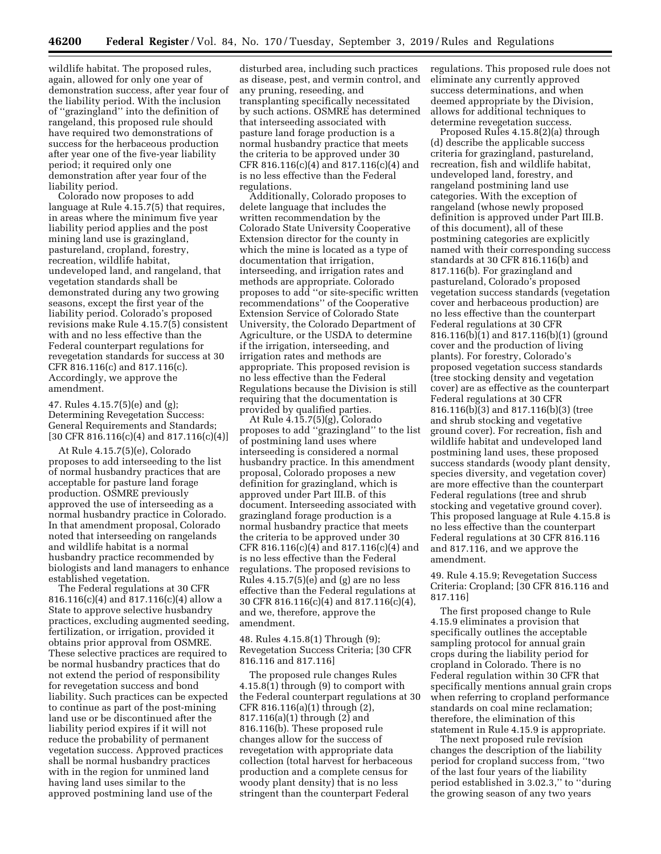wildlife habitat. The proposed rules, again, allowed for only one year of demonstration success, after year four of the liability period. With the inclusion of ''grazingland'' into the definition of rangeland, this proposed rule should have required two demonstrations of success for the herbaceous production after year one of the five-year liability period; it required only one demonstration after year four of the liability period.

Colorado now proposes to add language at Rule 4.15.7(5) that requires, in areas where the minimum five year liability period applies and the post mining land use is grazingland, pastureland, cropland, forestry, recreation, wildlife habitat, undeveloped land, and rangeland, that vegetation standards shall be demonstrated during any two growing seasons, except the first year of the liability period. Colorado's proposed revisions make Rule 4.15.7(5) consistent with and no less effective than the Federal counterpart regulations for revegetation standards for success at 30 CFR 816.116(c) and 817.116(c). Accordingly, we approve the amendment.

47. Rules 4.15.7(5)(e) and (g); Determining Revegetation Success: General Requirements and Standards;  $[30 \text{ CFR } 816.116(c)(4) \text{ and } 817.116(c)(4)]$ 

At Rule 4.15.7(5)(e), Colorado proposes to add interseeding to the list of normal husbandry practices that are acceptable for pasture land forage production. OSMRE previously approved the use of interseeding as a normal husbandry practice in Colorado. In that amendment proposal, Colorado noted that interseeding on rangelands and wildlife habitat is a normal husbandry practice recommended by biologists and land managers to enhance established vegetation.

The Federal regulations at 30 CFR 816.116(c)(4) and 817.116(c)(4) allow a State to approve selective husbandry practices, excluding augmented seeding, fertilization, or irrigation, provided it obtains prior approval from OSMRE. These selective practices are required to be normal husbandry practices that do not extend the period of responsibility for revegetation success and bond liability. Such practices can be expected to continue as part of the post-mining land use or be discontinued after the liability period expires if it will not reduce the probability of permanent vegetation success. Approved practices shall be normal husbandry practices with in the region for unmined land having land uses similar to the approved postmining land use of the

disturbed area, including such practices as disease, pest, and vermin control, and any pruning, reseeding, and transplanting specifically necessitated by such actions. OSMRE has determined that interseeding associated with pasture land forage production is a normal husbandry practice that meets the criteria to be approved under 30 CFR 816.116(c)(4) and 817.116(c)(4) and is no less effective than the Federal regulations.

Additionally, Colorado proposes to delete language that includes the written recommendation by the Colorado State University Cooperative Extension director for the county in which the mine is located as a type of documentation that irrigation, interseeding, and irrigation rates and methods are appropriate. Colorado proposes to add ''or site-specific written recommendations'' of the Cooperative Extension Service of Colorado State University, the Colorado Department of Agriculture, or the USDA to determine if the irrigation, interseeding, and irrigation rates and methods are appropriate. This proposed revision is no less effective than the Federal Regulations because the Division is still requiring that the documentation is provided by qualified parties.

At Rule 4.15.7(5)(g), Colorado proposes to add ''grazingland'' to the list of postmining land uses where interseeding is considered a normal husbandry practice. In this amendment proposal, Colorado proposes a new definition for grazingland, which is approved under Part III.B. of this document. Interseeding associated with grazingland forage production is a normal husbandry practice that meets the criteria to be approved under 30 CFR 816.116(c)(4) and 817.116(c)(4) and is no less effective than the Federal regulations. The proposed revisions to Rules 4.15.7(5)(e) and (g) are no less effective than the Federal regulations at 30 CFR 816.116(c)(4) and 817.116(c)(4), and we, therefore, approve the amendment.

48. Rules 4.15.8(1) Through (9); Revegetation Success Criteria; [30 CFR 816.116 and 817.116]

The proposed rule changes Rules 4.15.8(1) through (9) to comport with the Federal counterpart regulations at 30 CFR 816.116(a)(1) through (2), 817.116(a)(1) through (2) and 816.116(b). These proposed rule changes allow for the success of revegetation with appropriate data collection (total harvest for herbaceous production and a complete census for woody plant density) that is no less stringent than the counterpart Federal

regulations. This proposed rule does not eliminate any currently approved success determinations, and when deemed appropriate by the Division, allows for additional techniques to determine revegetation success.

Proposed Rules 4.15.8(2)(a) through (d) describe the applicable success criteria for grazingland, pastureland, recreation, fish and wildlife habitat, undeveloped land, forestry, and rangeland postmining land use categories. With the exception of rangeland (whose newly proposed definition is approved under Part III.B. of this document), all of these postmining categories are explicitly named with their corresponding success standards at 30 CFR 816.116(b) and 817.116(b). For grazingland and pastureland, Colorado's proposed vegetation success standards (vegetation cover and herbaceous production) are no less effective than the counterpart Federal regulations at 30 CFR 816.116(b)(1) and 817.116(b)(1) (ground cover and the production of living plants). For forestry, Colorado's proposed vegetation success standards (tree stocking density and vegetation cover) are as effective as the counterpart Federal regulations at 30 CFR 816.116(b)(3) and 817.116(b)(3) (tree and shrub stocking and vegetative ground cover). For recreation, fish and wildlife habitat and undeveloped land postmining land uses, these proposed success standards (woody plant density, species diversity, and vegetation cover) are more effective than the counterpart Federal regulations (tree and shrub stocking and vegetative ground cover). This proposed language at Rule 4.15.8 is no less effective than the counterpart Federal regulations at 30 CFR 816.116 and 817.116, and we approve the amendment.

49. Rule 4.15.9; Revegetation Success Criteria: Cropland; [30 CFR 816.116 and 817.116]

The first proposed change to Rule 4.15.9 eliminates a provision that specifically outlines the acceptable sampling protocol for annual grain crops during the liability period for cropland in Colorado. There is no Federal regulation within 30 CFR that specifically mentions annual grain crops when referring to cropland performance standards on coal mine reclamation; therefore, the elimination of this statement in Rule 4.15.9 is appropriate.

The next proposed rule revision changes the description of the liability period for cropland success from, ''two of the last four years of the liability period established in 3.02.3,'' to ''during the growing season of any two years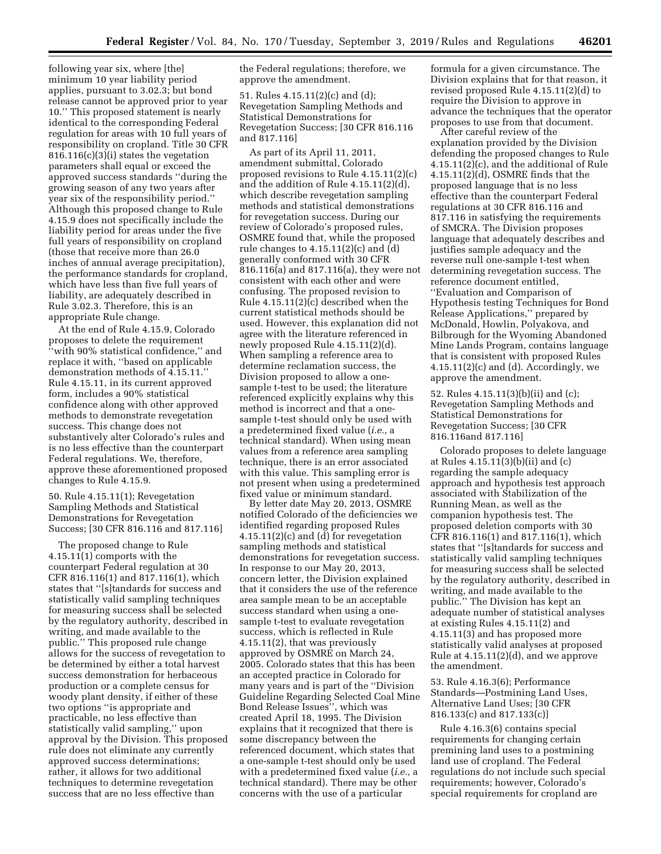following year six, where [the] minimum 10 year liability period applies, pursuant to 3.02.3; but bond release cannot be approved prior to year 10.'' This proposed statement is nearly identical to the corresponding Federal regulation for areas with 10 full years of responsibility on cropland. Title 30 CFR 816.116(c)(3)(i) states the vegetation parameters shall equal or exceed the approved success standards ''during the growing season of any two years after year six of the responsibility period.'' Although this proposed change to Rule 4.15.9 does not specifically include the liability period for areas under the five full years of responsibility on cropland (those that receive more than 26.0 inches of annual average precipitation), the performance standards for cropland, which have less than five full years of liability, are adequately described in Rule 3.02.3. Therefore, this is an appropriate Rule change.

At the end of Rule 4.15.9, Colorado proposes to delete the requirement ''with 90% statistical confidence,'' and replace it with, ''based on applicable demonstration methods of 4.15.11.'' Rule 4.15.11, in its current approved form, includes a 90% statistical confidence along with other approved methods to demonstrate revegetation success. This change does not substantively alter Colorado's rules and is no less effective than the counterpart Federal regulations. We, therefore, approve these aforementioned proposed changes to Rule 4.15.9.

50. Rule 4.15.11(1); Revegetation Sampling Methods and Statistical Demonstrations for Revegetation Success; [30 CFR 816.116 and 817.116]

The proposed change to Rule 4.15.11(1) comports with the counterpart Federal regulation at 30 CFR 816.116(1) and 817.116(1), which states that ''[s]tandards for success and statistically valid sampling techniques for measuring success shall be selected by the regulatory authority, described in writing, and made available to the public.'' This proposed rule change allows for the success of revegetation to be determined by either a total harvest success demonstration for herbaceous production or a complete census for woody plant density, if either of these two options ''is appropriate and practicable, no less effective than statistically valid sampling,'' upon approval by the Division. This proposed rule does not eliminate any currently approved success determinations; rather, it allows for two additional techniques to determine revegetation success that are no less effective than

the Federal regulations; therefore, we approve the amendment.

51. Rules 4.15.11(2)(c) and (d); Revegetation Sampling Methods and Statistical Demonstrations for Revegetation Success; [30 CFR 816.116 and 817.116]

As part of its April 11, 2011, amendment submittal, Colorado proposed revisions to Rule 4.15.11(2)(c) and the addition of Rule 4.15.11(2)(d), which describe revegetation sampling methods and statistical demonstrations for revegetation success. During our review of Colorado's proposed rules, OSMRE found that, while the proposed rule changes to 4.15.11(2)(c) and (d) generally conformed with 30 CFR 816.116(a) and 817.116(a), they were not consistent with each other and were confusing. The proposed revision to Rule 4.15.11(2)(c) described when the current statistical methods should be used. However, this explanation did not agree with the literature referenced in newly proposed Rule 4.15.11(2)(d). When sampling a reference area to determine reclamation success, the Division proposed to allow a onesample t-test to be used; the literature referenced explicitly explains why this method is incorrect and that a onesample t-test should only be used with a predetermined fixed value (*i.e.,* a technical standard). When using mean values from a reference area sampling technique, there is an error associated with this value. This sampling error is not present when using a predetermined fixed value or minimum standard.

By letter date May 20, 2013, OSMRE notified Colorado of the deficiencies we identified regarding proposed Rules 4.15.11(2)(c) and (d) for revegetation sampling methods and statistical demonstrations for revegetation success. In response to our May 20, 2013, concern letter, the Division explained that it considers the use of the reference area sample mean to be an acceptable success standard when using a onesample t-test to evaluate revegetation success, which is reflected in Rule 4.15.11(2), that was previously approved by OSMRE on March 24, 2005. Colorado states that this has been an accepted practice in Colorado for many years and is part of the ''Division Guideline Regarding Selected Coal Mine Bond Release Issues'', which was created April 18, 1995. The Division explains that it recognized that there is some discrepancy between the referenced document, which states that a one-sample t-test should only be used with a predetermined fixed value (*i.e.,* a technical standard). There may be other concerns with the use of a particular

formula for a given circumstance. The Division explains that for that reason, it revised proposed Rule 4.15.11(2)(d) to require the Division to approve in advance the techniques that the operator proposes to use from that document.

After careful review of the explanation provided by the Division defending the proposed changes to Rule 4.15.11(2)(c), and the additional of Rule 4.15.11(2)(d), OSMRE finds that the proposed language that is no less effective than the counterpart Federal regulations at 30 CFR 816.116 and 817.116 in satisfying the requirements of SMCRA. The Division proposes language that adequately describes and justifies sample adequacy and the reverse null one-sample t-test when determining revegetation success. The reference document entitled, ''Evaluation and Comparison of Hypothesis testing Techniques for Bond Release Applications,'' prepared by McDonald, Howlin, Polyakova, and Bilbrough for the Wyoming Abandoned Mine Lands Program, contains language that is consistent with proposed Rules  $4.15.11(2)(c)$  and (d). Accordingly, we approve the amendment.

52. Rules 4.15.11(3)(b)(ii) and (c); Revegetation Sampling Methods and Statistical Demonstrations for Revegetation Success; [30 CFR 816.116and 817.116]

Colorado proposes to delete language at Rules 4.15.11(3)(b)(ii) and (c) regarding the sample adequacy approach and hypothesis test approach associated with Stabilization of the Running Mean, as well as the companion hypothesis test. The proposed deletion comports with 30 CFR 816.116(1) and 817.116(1), which states that ''[s]tandards for success and statistically valid sampling techniques for measuring success shall be selected by the regulatory authority, described in writing, and made available to the public.'' The Division has kept an adequate number of statistical analyses at existing Rules 4.15.11(2) and 4.15.11(3) and has proposed more statistically valid analyses at proposed Rule at 4.15.11(2)(d), and we approve the amendment.

53. Rule 4.16.3(6); Performance Standards—Postmining Land Uses, Alternative Land Uses; [30 CFR 816.133(c) and 817.133(c)]

Rule 4.16.3(6) contains special requirements for changing certain premining land uses to a postmining land use of cropland. The Federal regulations do not include such special requirements; however, Colorado's special requirements for cropland are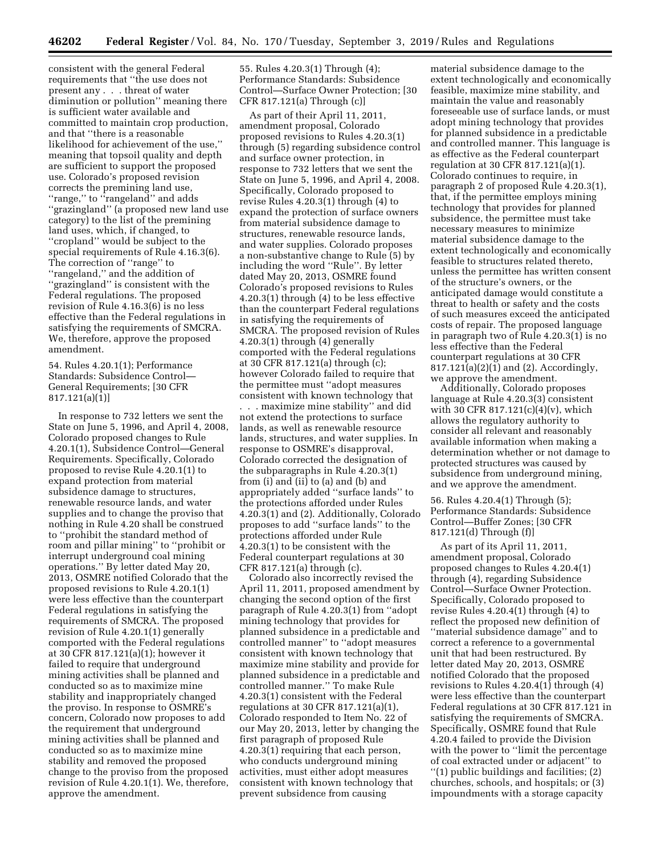consistent with the general Federal requirements that ''the use does not present any . . . threat of water diminution or pollution'' meaning there is sufficient water available and committed to maintain crop production, and that ''there is a reasonable likelihood for achievement of the use,'' meaning that topsoil quality and depth are sufficient to support the proposed use. Colorado's proposed revision corrects the premining land use, "range," to "rangeland" and adds ''grazingland'' (a proposed new land use category) to the list of the premining land uses, which, if changed, to ''cropland'' would be subject to the special requirements of Rule 4.16.3(6). The correction of ''range'' to ''rangeland,'' and the addition of ''grazingland'' is consistent with the Federal regulations. The proposed revision of Rule 4.16.3(6) is no less effective than the Federal regulations in satisfying the requirements of SMCRA. We, therefore, approve the proposed amendment.

## 54. Rules 4.20.1(1); Performance Standards: Subsidence Control— General Requirements; [30 CFR 817.121(a)(1)]

In response to 732 letters we sent the State on June 5, 1996, and April 4, 2008, Colorado proposed changes to Rule 4.20.1(1), Subsidence Control—General Requirements. Specifically, Colorado proposed to revise Rule 4.20.1(1) to expand protection from material subsidence damage to structures, renewable resource lands, and water supplies and to change the proviso that nothing in Rule 4.20 shall be construed to ''prohibit the standard method of room and pillar mining'' to ''prohibit or interrupt underground coal mining operations.'' By letter dated May 20, 2013, OSMRE notified Colorado that the proposed revisions to Rule 4.20.1(1) were less effective than the counterpart Federal regulations in satisfying the requirements of SMCRA. The proposed revision of Rule 4.20.1(1) generally comported with the Federal regulations at 30 CFR 817.121(a)(1); however it failed to require that underground mining activities shall be planned and conducted so as to maximize mine stability and inappropriately changed the proviso. In response to OSMRE's concern, Colorado now proposes to add the requirement that underground mining activities shall be planned and conducted so as to maximize mine stability and removed the proposed change to the proviso from the proposed revision of Rule 4.20.1(1). We, therefore, approve the amendment.

55. Rules 4.20.3(1) Through (4); Performance Standards: Subsidence Control—Surface Owner Protection; [30 CFR 817.121(a) Through (c)]

As part of their April 11, 2011, amendment proposal, Colorado proposed revisions to Rules 4.20.3(1) through (5) regarding subsidence control and surface owner protection, in response to 732 letters that we sent the State on June 5, 1996, and April 4, 2008. Specifically, Colorado proposed to revise Rules 4.20.3(1) through (4) to expand the protection of surface owners from material subsidence damage to structures, renewable resource lands, and water supplies. Colorado proposes a non-substantive change to Rule (5) by including the word ''Rule''. By letter dated May 20, 2013, OSMRE found Colorado's proposed revisions to Rules 4.20.3(1) through (4) to be less effective than the counterpart Federal regulations in satisfying the requirements of SMCRA. The proposed revision of Rules 4.20.3(1) through (4) generally comported with the Federal regulations at 30 CFR 817.121(a) through (c); however Colorado failed to require that the permittee must ''adopt measures consistent with known technology that . . . maximize mine stability'' and did not extend the protections to surface lands, as well as renewable resource lands, structures, and water supplies. In response to OSMRE's disapproval, Colorado corrected the designation of the subparagraphs in Rule 4.20.3(1) from (i) and (ii) to (a) and (b) and appropriately added ''surface lands'' to the protections afforded under Rules 4.20.3(1) and (2). Additionally, Colorado proposes to add ''surface lands'' to the protections afforded under Rule 4.20.3(1) to be consistent with the Federal counterpart regulations at 30 CFR 817.121(a) through (c).

Colorado also incorrectly revised the April 11, 2011, proposed amendment by changing the second option of the first paragraph of Rule 4.20.3(1) from ''adopt mining technology that provides for planned subsidence in a predictable and controlled manner'' to ''adopt measures consistent with known technology that maximize mine stability and provide for planned subsidence in a predictable and controlled manner.'' To make Rule 4.20.3(1) consistent with the Federal regulations at 30 CFR 817.121(a)(1), Colorado responded to Item No. 22 of our May 20, 2013, letter by changing the first paragraph of proposed Rule 4.20.3(1) requiring that each person, who conducts underground mining activities, must either adopt measures consistent with known technology that prevent subsidence from causing

material subsidence damage to the extent technologically and economically feasible, maximize mine stability, and maintain the value and reasonably foreseeable use of surface lands, or must adopt mining technology that provides for planned subsidence in a predictable and controlled manner. This language is as effective as the Federal counterpart regulation at 30 CFR 817.121(a)(1). Colorado continues to require, in paragraph 2 of proposed Rule 4.20.3(1), that, if the permittee employs mining technology that provides for planned subsidence, the permittee must take necessary measures to minimize material subsidence damage to the extent technologically and economically feasible to structures related thereto, unless the permittee has written consent of the structure's owners, or the anticipated damage would constitute a threat to health or safety and the costs of such measures exceed the anticipated costs of repair. The proposed language in paragraph two of Rule 4.20.3(1) is no less effective than the Federal counterpart regulations at 30 CFR 817.121(a)(2)(1) and (2). Accordingly, we approve the amendment.

Additionally, Colorado proposes language at Rule 4.20.3(3) consistent with 30 CFR 817.121(c)(4)(v), which allows the regulatory authority to consider all relevant and reasonably available information when making a determination whether or not damage to protected structures was caused by subsidence from underground mining, and we approve the amendment.

56. Rules 4.20.4(1) Through (5); Performance Standards: Subsidence Control—Buffer Zones; [30 CFR 817.121(d) Through (f)]

As part of its April 11, 2011, amendment proposal, Colorado proposed changes to Rules 4.20.4(1) through (4), regarding Subsidence Control—Surface Owner Protection. Specifically, Colorado proposed to revise Rules 4.20.4(1) through (4) to reflect the proposed new definition of ''material subsidence damage'' and to correct a reference to a governmental unit that had been restructured. By letter dated May 20, 2013, OSMRE notified Colorado that the proposed revisions to Rules 4.20.4(1) through (4) were less effective than the counterpart Federal regulations at 30 CFR 817.121 in satisfying the requirements of SMCRA. Specifically, OSMRE found that Rule 4.20.4 failed to provide the Division with the power to "limit the percentage" of coal extracted under or adjacent'' to ''(1) public buildings and facilities; (2) churches, schools, and hospitals; or (3) impoundments with a storage capacity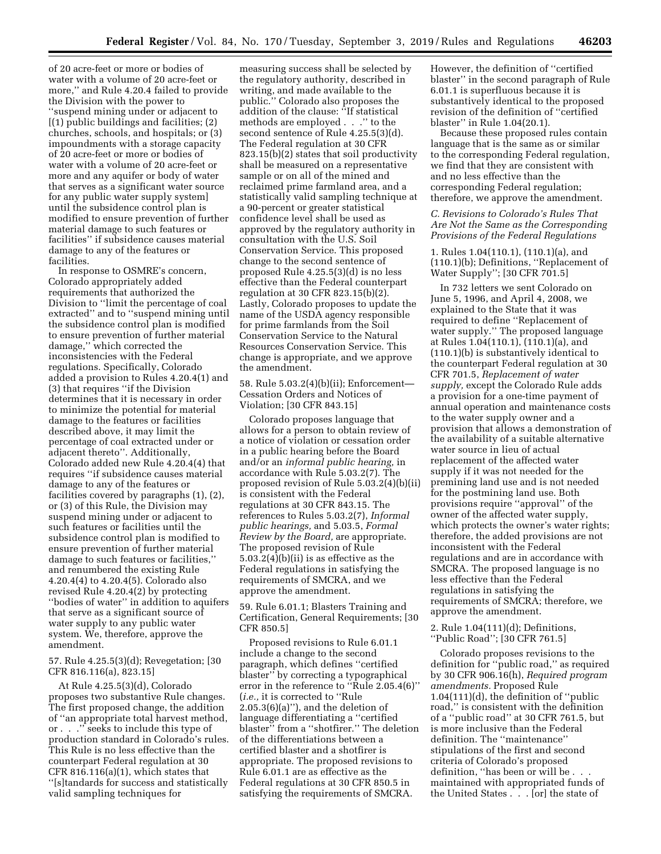of 20 acre-feet or more or bodies of water with a volume of 20 acre-feet or more,'' and Rule 4.20.4 failed to provide the Division with the power to ''suspend mining under or adjacent to [(1) public buildings and facilities; (2) churches, schools, and hospitals; or (3) impoundments with a storage capacity of 20 acre-feet or more or bodies of water with a volume of 20 acre-feet or more and any aquifer or body of water that serves as a significant water source for any public water supply system] until the subsidence control plan is modified to ensure prevention of further material damage to such features or facilities'' if subsidence causes material damage to any of the features or facilities.

In response to OSMRE's concern, Colorado appropriately added requirements that authorized the Division to ''limit the percentage of coal extracted'' and to ''suspend mining until the subsidence control plan is modified to ensure prevention of further material damage,'' which corrected the inconsistencies with the Federal regulations. Specifically, Colorado added a provision to Rules 4.20.4(1) and (3) that requires ''if the Division determines that it is necessary in order to minimize the potential for material damage to the features or facilities described above, it may limit the percentage of coal extracted under or adjacent thereto''. Additionally, Colorado added new Rule 4.20.4(4) that requires ''if subsidence causes material damage to any of the features or facilities covered by paragraphs (1), (2), or (3) of this Rule, the Division may suspend mining under or adjacent to such features or facilities until the subsidence control plan is modified to ensure prevention of further material damage to such features or facilities,'' and renumbered the existing Rule 4.20.4(4) to 4.20.4(5). Colorado also revised Rule 4.20.4(2) by protecting ''bodies of water'' in addition to aquifers that serve as a significant source of water supply to any public water system. We, therefore, approve the amendment.

57. Rule 4.25.5(3)(d); Revegetation; [30 CFR 816.116(a), 823.15]

At Rule 4.25.5(3)(d), Colorado proposes two substantive Rule changes. The first proposed change, the addition of ''an appropriate total harvest method, or . . .'' seeks to include this type of production standard in Colorado's rules. This Rule is no less effective than the counterpart Federal regulation at 30 CFR 816.116(a)(1), which states that ''[s]tandards for success and statistically valid sampling techniques for

measuring success shall be selected by the regulatory authority, described in writing, and made available to the public.'' Colorado also proposes the addition of the clause: ''If statistical methods are employed . . .'' to the second sentence of Rule 4.25.5(3)(d). The Federal regulation at 30 CFR 823.15(b)(2) states that soil productivity shall be measured on a representative sample or on all of the mined and reclaimed prime farmland area, and a statistically valid sampling technique at a 90-percent or greater statistical confidence level shall be used as approved by the regulatory authority in consultation with the U.S. Soil Conservation Service. This proposed change to the second sentence of proposed Rule 4.25.5(3)(d) is no less effective than the Federal counterpart regulation at 30 CFR 823.15(b)(2). Lastly, Colorado proposes to update the name of the USDA agency responsible for prime farmlands from the Soil Conservation Service to the Natural Resources Conservation Service. This change is appropriate, and we approve the amendment.

58. Rule 5.03.2(4)(b)(ii); Enforcement— Cessation Orders and Notices of Violation; [30 CFR 843.15]

Colorado proposes language that allows for a person to obtain review of a notice of violation or cessation order in a public hearing before the Board and/or an *informal public hearing,* in accordance with Rule 5.03.2(7). The proposed revision of Rule 5.03.2(4)(b)(ii) is consistent with the Federal regulations at 30 CFR 843.15. The references to Rules 5.03.2(7), *Informal public hearings,* and 5.03.5, *Formal Review by the Board,* are appropriate. The proposed revision of Rule 5.03.2(4)(b)(ii) is as effective as the Federal regulations in satisfying the requirements of SMCRA, and we approve the amendment.

59. Rule 6.01.1; Blasters Training and Certification, General Requirements; [30 CFR 850.5]

Proposed revisions to Rule 6.01.1 include a change to the second paragraph, which defines ''certified blaster" by correcting a typographical error in the reference to ''Rule 2.05.4(6)'' (*i.e.,* it is corrected to ''Rule 2.05.3(6)(a)''), and the deletion of language differentiating a ''certified blaster'' from a ''shotfirer.'' The deletion of the differentiations between a certified blaster and a shotfirer is appropriate. The proposed revisions to Rule 6.01.1 are as effective as the Federal regulations at 30 CFR 850.5 in satisfying the requirements of SMCRA.

However, the definition of ''certified blaster'' in the second paragraph of Rule 6.01.1 is superfluous because it is substantively identical to the proposed revision of the definition of ''certified blaster'' in Rule 1.04(20.1).

Because these proposed rules contain language that is the same as or similar to the corresponding Federal regulation, we find that they are consistent with and no less effective than the corresponding Federal regulation; therefore, we approve the amendment.

### *C. Revisions to Colorado's Rules That Are Not the Same as the Corresponding Provisions of the Federal Regulations*

1. Rules 1.04(110.1), (110.1)(a), and (110.1)(b); Definitions, ''Replacement of Water Supply''; [30 CFR 701.5]

In 732 letters we sent Colorado on June 5, 1996, and April 4, 2008, we explained to the State that it was required to define ''Replacement of water supply.'' The proposed language at Rules 1.04(110.1), (110.1)(a), and (110.1)(b) is substantively identical to the counterpart Federal regulation at 30 CFR 701.5, *Replacement of water supply,* except the Colorado Rule adds a provision for a one-time payment of annual operation and maintenance costs to the water supply owner and a provision that allows a demonstration of the availability of a suitable alternative water source in lieu of actual replacement of the affected water supply if it was not needed for the premining land use and is not needed for the postmining land use. Both provisions require ''approval'' of the owner of the affected water supply, which protects the owner's water rights; therefore, the added provisions are not inconsistent with the Federal regulations and are in accordance with SMCRA. The proposed language is no less effective than the Federal regulations in satisfying the requirements of SMCRA; therefore, we approve the amendment.

2. Rule 1.04(111)(d); Definitions, ''Public Road''; [30 CFR 761.5]

Colorado proposes revisions to the definition for ''public road,'' as required by 30 CFR 906.16(h), *Required program amendments.* Proposed Rule 1.04(111)(d), the definition of ''public road,'' is consistent with the definition of a ''public road'' at 30 CFR 761.5, but is more inclusive than the Federal definition. The ''maintenance'' stipulations of the first and second criteria of Colorado's proposed definition, "has been or will be . . maintained with appropriated funds of the United States . . . [or] the state of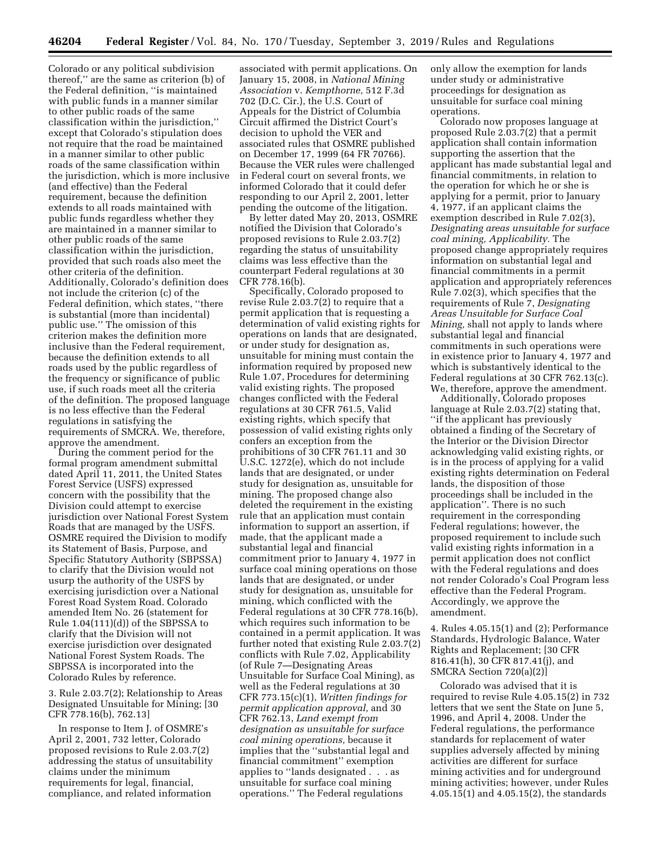Colorado or any political subdivision thereof,'' are the same as criterion (b) of the Federal definition, ''is maintained with public funds in a manner similar to other public roads of the same classification within the jurisdiction,'' except that Colorado's stipulation does not require that the road be maintained in a manner similar to other public roads of the same classification within the jurisdiction, which is more inclusive (and effective) than the Federal requirement, because the definition extends to all roads maintained with public funds regardless whether they are maintained in a manner similar to other public roads of the same classification within the jurisdiction, provided that such roads also meet the other criteria of the definition. Additionally, Colorado's definition does not include the criterion (c) of the Federal definition, which states, ''there is substantial (more than incidental) public use.'' The omission of this criterion makes the definition more inclusive than the Federal requirement, because the definition extends to all roads used by the public regardless of the frequency or significance of public use, if such roads meet all the criteria of the definition. The proposed language is no less effective than the Federal regulations in satisfying the requirements of SMCRA. We, therefore, approve the amendment.

During the comment period for the formal program amendment submittal dated April 11, 2011, the United States Forest Service (USFS) expressed concern with the possibility that the Division could attempt to exercise jurisdiction over National Forest System Roads that are managed by the USFS. OSMRE required the Division to modify its Statement of Basis, Purpose, and Specific Statutory Authority (SBPSSA) to clarify that the Division would not usurp the authority of the USFS by exercising jurisdiction over a National Forest Road System Road. Colorado amended Item No. 26 (statement for Rule 1.04(111)(d)) of the SBPSSA to clarify that the Division will not exercise jurisdiction over designated National Forest System Roads. The SBPSSA is incorporated into the Colorado Rules by reference.

3. Rule 2.03.7(2); Relationship to Areas Designated Unsuitable for Mining; [30 CFR 778.16(b), 762.13]

In response to Item J. of OSMRE's April 2, 2001, 732 letter, Colorado proposed revisions to Rule 2.03.7(2) addressing the status of unsuitability claims under the minimum requirements for legal, financial, compliance, and related information

associated with permit applications. On January 15, 2008, in *National Mining Association* v. *Kempthorne,* 512 F.3d 702 (D.C. Cir.), the U.S. Court of Appeals for the District of Columbia Circuit affirmed the District Court's decision to uphold the VER and associated rules that OSMRE published on December 17, 1999 (64 FR 70766). Because the VER rules were challenged in Federal court on several fronts, we informed Colorado that it could defer responding to our April 2, 2001, letter pending the outcome of the litigation.

By letter dated May 20, 2013, OSMRE notified the Division that Colorado's proposed revisions to Rule 2.03.7(2) regarding the status of unsuitability claims was less effective than the counterpart Federal regulations at 30 CFR 778.16(b).

Specifically, Colorado proposed to revise Rule 2.03.7(2) to require that a permit application that is requesting a determination of valid existing rights for operations on lands that are designated, or under study for designation as, unsuitable for mining must contain the information required by proposed new Rule 1.07, Procedures for determining valid existing rights. The proposed changes conflicted with the Federal regulations at 30 CFR 761.5, Valid existing rights, which specify that possession of valid existing rights only confers an exception from the prohibitions of 30 CFR 761.11 and 30 U.S.C. 1272(e), which do not include lands that are designated, or under study for designation as, unsuitable for mining. The proposed change also deleted the requirement in the existing rule that an application must contain information to support an assertion, if made, that the applicant made a substantial legal and financial commitment prior to January 4, 1977 in surface coal mining operations on those lands that are designated, or under study for designation as, unsuitable for mining, which conflicted with the Federal regulations at 30 CFR 778.16(b), which requires such information to be contained in a permit application. It was further noted that existing Rule 2.03.7(2) conflicts with Rule 7.02, Applicability (of Rule 7—Designating Areas Unsuitable for Surface Coal Mining), as well as the Federal regulations at 30 CFR 773.15(c)(1), *Written findings for permit application approval,* and 30 CFR 762.13, *Land exempt from designation as unsuitable for surface coal mining operations,* because it implies that the ''substantial legal and financial commitment'' exemption applies to ''lands designated . . . as unsuitable for surface coal mining operations.'' The Federal regulations

only allow the exemption for lands under study or administrative proceedings for designation as unsuitable for surface coal mining operations.

Colorado now proposes language at proposed Rule 2.03.7(2) that a permit application shall contain information supporting the assertion that the applicant has made substantial legal and financial commitments, in relation to the operation for which he or she is applying for a permit, prior to January 4, 1977, if an applicant claims the exemption described in Rule 7.02(3), *Designating areas unsuitable for surface coal mining, Applicability.* The proposed change appropriately requires information on substantial legal and financial commitments in a permit application and appropriately references Rule 7.02(3), which specifies that the requirements of Rule 7, *Designating Areas Unsuitable for Surface Coal Mining,* shall not apply to lands where substantial legal and financial commitments in such operations were in existence prior to January 4, 1977 and which is substantively identical to the Federal regulations at 30 CFR 762.13(c). We, therefore, approve the amendment.

Additionally, Colorado proposes language at Rule 2.03.7(2) stating that, ''if the applicant has previously obtained a finding of the Secretary of the Interior or the Division Director acknowledging valid existing rights, or is in the process of applying for a valid existing rights determination on Federal lands, the disposition of those proceedings shall be included in the application''. There is no such requirement in the corresponding Federal regulations; however, the proposed requirement to include such valid existing rights information in a permit application does not conflict with the Federal regulations and does not render Colorado's Coal Program less effective than the Federal Program. Accordingly, we approve the amendment.

4. Rules 4.05.15(1) and (2); Performance Standards, Hydrologic Balance, Water Rights and Replacement; [30 CFR 816.41(h), 30 CFR 817.41(j), and SMCRA Section 720(a)(2)]

Colorado was advised that it is required to revise Rule 4.05.15(2) in 732 letters that we sent the State on June 5, 1996, and April 4, 2008. Under the Federal regulations, the performance standards for replacement of water supplies adversely affected by mining activities are different for surface mining activities and for underground mining activities; however, under Rules 4.05.15(1) and 4.05.15(2), the standards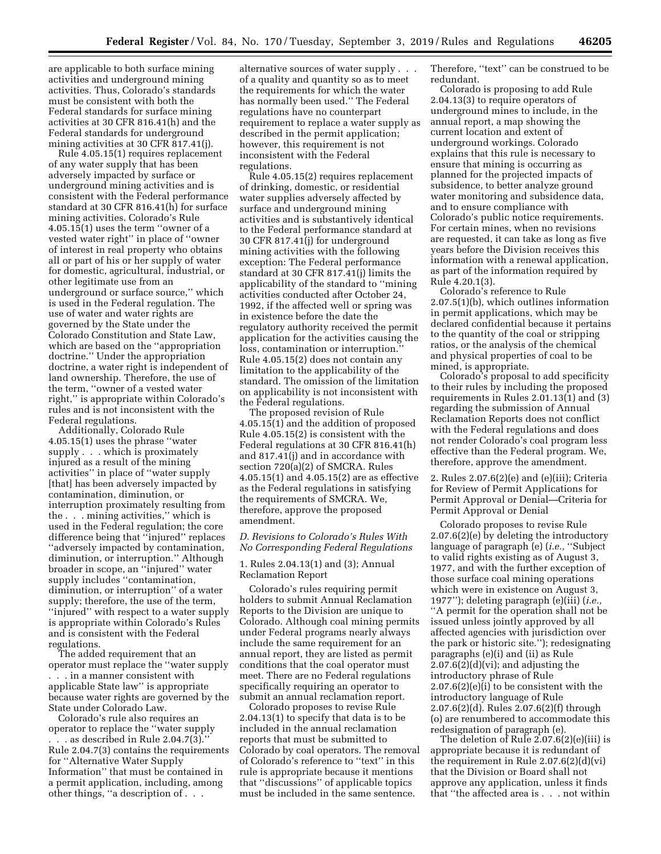are applicable to both surface mining activities and underground mining activities. Thus, Colorado's standards must be consistent with both the Federal standards for surface mining activities at 30 CFR 816.41(h) and the Federal standards for underground mining activities at 30 CFR 817.41(j).

Rule 4.05.15(1) requires replacement of any water supply that has been adversely impacted by surface or underground mining activities and is consistent with the Federal performance standard at 30 CFR 816.41(h) for surface mining activities. Colorado's Rule 4.05.15(1) uses the term ''owner of a vested water right'' in place of ''owner of interest in real property who obtains all or part of his or her supply of water for domestic, agricultural, industrial, or other legitimate use from an underground or surface source,'' which is used in the Federal regulation. The use of water and water rights are governed by the State under the Colorado Constitution and State Law, which are based on the ''appropriation doctrine.'' Under the appropriation doctrine, a water right is independent of land ownership. Therefore, the use of the term, ''owner of a vested water right,'' is appropriate within Colorado's rules and is not inconsistent with the Federal regulations.

Additionally, Colorado Rule 4.05.15(1) uses the phrase ''water supply . . . which is proximately injured as a result of the mining activities'' in place of ''water supply [that] has been adversely impacted by contamination, diminution, or interruption proximately resulting from the . . . mining activities,'' which is used in the Federal regulation; the core difference being that ''injured'' replaces ''adversely impacted by contamination, diminution, or interruption.'' Although broader in scope, an ''injured'' water supply includes ''contamination, diminution, or interruption'' of a water supply; therefore, the use of the term, ''injured'' with respect to a water supply is appropriate within Colorado's Rules and is consistent with the Federal regulations.

The added requirement that an operator must replace the ''water supply . . . in a manner consistent with applicable State law'' is appropriate because water rights are governed by the State under Colorado Law.

Colorado's rule also requires an operator to replace the ''water supply . . . as described in Rule 2.04.7(3).'' Rule 2.04.7(3) contains the requirements for ''Alternative Water Supply Information'' that must be contained in a permit application, including, among other things, ''a description of . . .

alternative sources of water supply . . . of a quality and quantity so as to meet the requirements for which the water has normally been used.'' The Federal regulations have no counterpart requirement to replace a water supply as described in the permit application; however, this requirement is not inconsistent with the Federal regulations.

Rule 4.05.15(2) requires replacement of drinking, domestic, or residential water supplies adversely affected by surface and underground mining activities and is substantively identical to the Federal performance standard at 30 CFR 817.41(j) for underground mining activities with the following exception: The Federal performance standard at 30 CFR 817.41(j) limits the applicability of the standard to ''mining activities conducted after October 24, 1992, if the affected well or spring was in existence before the date the regulatory authority received the permit application for the activities causing the loss, contamination or interruption.'' Rule 4.05.15(2) does not contain any limitation to the applicability of the standard. The omission of the limitation on applicability is not inconsistent with the Federal regulations.

The proposed revision of Rule 4.05.15(1) and the addition of proposed Rule 4.05.15(2) is consistent with the Federal regulations at 30 CFR 816.41(h) and 817.41(j) and in accordance with section 720(a)(2) of SMCRA. Rules 4.05.15(1) and 4.05.15(2) are as effective as the Federal regulations in satisfying the requirements of SMCRA. We, therefore, approve the proposed amendment.

### *D. Revisions to Colorado's Rules With No Corresponding Federal Regulations*

## 1. Rules 2.04.13(1) and (3); Annual Reclamation Report

Colorado's rules requiring permit holders to submit Annual Reclamation Reports to the Division are unique to Colorado. Although coal mining permits under Federal programs nearly always include the same requirement for an annual report, they are listed as permit conditions that the coal operator must meet. There are no Federal regulations specifically requiring an operator to submit an annual reclamation report.

Colorado proposes to revise Rule 2.04.13(1) to specify that data is to be included in the annual reclamation reports that must be submitted to Colorado by coal operators. The removal of Colorado's reference to ''text'' in this rule is appropriate because it mentions that ''discussions'' of applicable topics must be included in the same sentence.

Therefore, "text" can be construed to be redundant.

Colorado is proposing to add Rule 2.04.13(3) to require operators of underground mines to include, in the annual report, a map showing the current location and extent of underground workings. Colorado explains that this rule is necessary to ensure that mining is occurring as planned for the projected impacts of subsidence, to better analyze ground water monitoring and subsidence data, and to ensure compliance with Colorado's public notice requirements. For certain mines, when no revisions are requested, it can take as long as five years before the Division receives this information with a renewal application, as part of the information required by Rule 4.20.1(3).

Colorado's reference to Rule 2.07.5(1)(b), which outlines information in permit applications, which may be declared confidential because it pertains to the quantity of the coal or stripping ratios, or the analysis of the chemical and physical properties of coal to be mined, is appropriate.

Colorado's proposal to add specificity to their rules by including the proposed requirements in Rules 2.01.13(1) and (3) regarding the submission of Annual Reclamation Reports does not conflict with the Federal regulations and does not render Colorado's coal program less effective than the Federal program. We, therefore, approve the amendment.

2. Rules 2.07.6(2)(e) and (e)(iii); Criteria for Review of Permit Applications for Permit Approval or Denial—Criteria for Permit Approval or Denial

Colorado proposes to revise Rule 2.07.6(2)(e) by deleting the introductory language of paragraph (e) (*i.e.,* ''Subject to valid rights existing as of August 3, 1977, and with the further exception of those surface coal mining operations which were in existence on August 3, 1977''); deleting paragraph (e)(iii) (*i.e.,*  ''A permit for the operation shall not be issued unless jointly approved by all affected agencies with jurisdiction over the park or historic site.''); redesignating paragraphs (e)(i) and (ii) as Rule  $2.07.6(2)(d)(vi)$ ; and adjusting the introductory phrase of Rule 2.07.6(2)(e)(i) to be consistent with the introductory language of Rule 2.07.6(2)(d). Rules 2.07.6(2)(f) through (o) are renumbered to accommodate this redesignation of paragraph (e).

The deletion of Rule 2.07.6(2)(e)(iii) is appropriate because it is redundant of the requirement in Rule 2.07.6(2)(d)(vi) that the Division or Board shall not approve any application, unless it finds that ''the affected area is . . . not within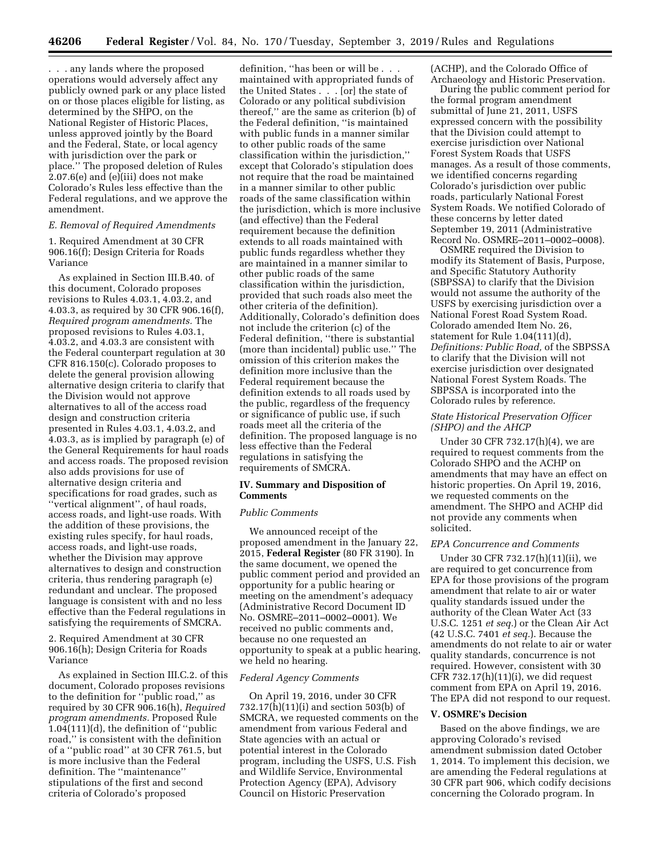. . . any lands where the proposed operations would adversely affect any publicly owned park or any place listed on or those places eligible for listing, as determined by the SHPO, on the National Register of Historic Places, unless approved jointly by the Board and the Federal, State, or local agency with jurisdiction over the park or place.'' The proposed deletion of Rules  $2.07.6(e)$  and  $(e)(ii)$  does not make Colorado's Rules less effective than the Federal regulations, and we approve the amendment.

### *E. Removal of Required Amendments*

1. Required Amendment at 30 CFR 906.16(f); Design Criteria for Roads Variance

As explained in Section III.B.40. of this document, Colorado proposes revisions to Rules 4.03.1, 4.03.2, and 4.03.3, as required by 30 CFR 906.16(f), *Required program amendments.* The proposed revisions to Rules 4.03.1, 4.03.2, and 4.03.3 are consistent with the Federal counterpart regulation at 30 CFR 816.150(c). Colorado proposes to delete the general provision allowing alternative design criteria to clarify that the Division would not approve alternatives to all of the access road design and construction criteria presented in Rules 4.03.1, 4.03.2, and 4.03.3, as is implied by paragraph (e) of the General Requirements for haul roads and access roads. The proposed revision also adds provisions for use of alternative design criteria and specifications for road grades, such as ''vertical alignment'', of haul roads, access roads, and light-use roads. With the addition of these provisions, the existing rules specify, for haul roads, access roads, and light-use roads, whether the Division may approve alternatives to design and construction criteria, thus rendering paragraph (e) redundant and unclear. The proposed language is consistent with and no less effective than the Federal regulations in satisfying the requirements of SMCRA.

2. Required Amendment at 30 CFR 906.16(h); Design Criteria for Roads Variance

As explained in Section III.C.2. of this document, Colorado proposes revisions to the definition for ''public road,'' as required by 30 CFR 906.16(h), *Required program amendments.* Proposed Rule 1.04(111)(d), the definition of ''public road,'' is consistent with the definition of a ''public road'' at 30 CFR 761.5, but is more inclusive than the Federal definition. The ''maintenance'' stipulations of the first and second criteria of Colorado's proposed

definition, ''has been or will be . . . maintained with appropriated funds of the United States . . . [or] the state of Colorado or any political subdivision thereof,'' are the same as criterion (b) of the Federal definition, ''is maintained with public funds in a manner similar to other public roads of the same classification within the jurisdiction,'' except that Colorado's stipulation does not require that the road be maintained in a manner similar to other public roads of the same classification within the jurisdiction, which is more inclusive (and effective) than the Federal requirement because the definition extends to all roads maintained with public funds regardless whether they are maintained in a manner similar to other public roads of the same classification within the jurisdiction, provided that such roads also meet the other criteria of the definition). Additionally, Colorado's definition does not include the criterion (c) of the Federal definition, ''there is substantial (more than incidental) public use.'' The omission of this criterion makes the definition more inclusive than the Federal requirement because the definition extends to all roads used by the public, regardless of the frequency or significance of public use, if such roads meet all the criteria of the definition. The proposed language is no less effective than the Federal regulations in satisfying the requirements of SMCRA.

### **IV. Summary and Disposition of Comments**

#### *Public Comments*

We announced receipt of the proposed amendment in the January 22, 2015, **Federal Register** (80 FR 3190). In the same document, we opened the public comment period and provided an opportunity for a public hearing or meeting on the amendment's adequacy (Administrative Record Document ID No. OSMRE–2011–0002–0001). We received no public comments and, because no one requested an opportunity to speak at a public hearing, we held no hearing.

### *Federal Agency Comments*

On April 19, 2016, under 30 CFR 732.17(h)(11)(i) and section 503(b) of SMCRA, we requested comments on the amendment from various Federal and State agencies with an actual or potential interest in the Colorado program, including the USFS, U.S. Fish and Wildlife Service, Environmental Protection Agency (EPA), Advisory Council on Historic Preservation

(ACHP), and the Colorado Office of Archaeology and Historic Preservation.

During the public comment period for the formal program amendment submittal of June 21, 2011, USFS expressed concern with the possibility that the Division could attempt to exercise jurisdiction over National Forest System Roads that USFS manages. As a result of those comments, we identified concerns regarding Colorado's jurisdiction over public roads, particularly National Forest System Roads. We notified Colorado of these concerns by letter dated September 19, 2011 (Administrative Record No. OSMRE–2011–0002–0008).

OSMRE required the Division to modify its Statement of Basis, Purpose, and Specific Statutory Authority (SBPSSA) to clarify that the Division would not assume the authority of the USFS by exercising jurisdiction over a National Forest Road System Road. Colorado amended Item No. 26, statement for Rule 1.04(111)(d), *Definitions: Public Road,* of the SBPSSA to clarify that the Division will not exercise jurisdiction over designated National Forest System Roads. The SBPSSA is incorporated into the Colorado rules by reference.

## *State Historical Preservation Officer (SHPO) and the AHCP*

Under 30 CFR 732.17(h)(4), we are required to request comments from the Colorado SHPO and the ACHP on amendments that may have an effect on historic properties. On April 19, 2016, we requested comments on the amendment. The SHPO and ACHP did not provide any comments when solicited.

## *EPA Concurrence and Comments*

Under 30 CFR 732.17(h)(11)(ii), we are required to get concurrence from EPA for those provisions of the program amendment that relate to air or water quality standards issued under the authority of the Clean Water Act (33 U.S.C. 1251 *et seq.*) or the Clean Air Act (42 U.S.C. 7401 *et seq.*). Because the amendments do not relate to air or water quality standards, concurrence is not required. However, consistent with 30 CFR 732.17(h)(11)(i), we did request comment from EPA on April 19, 2016. The EPA did not respond to our request.

### **V. OSMRE's Decision**

Based on the above findings, we are approving Colorado's revised amendment submission dated October 1, 2014. To implement this decision, we are amending the Federal regulations at 30 CFR part 906, which codify decisions concerning the Colorado program. In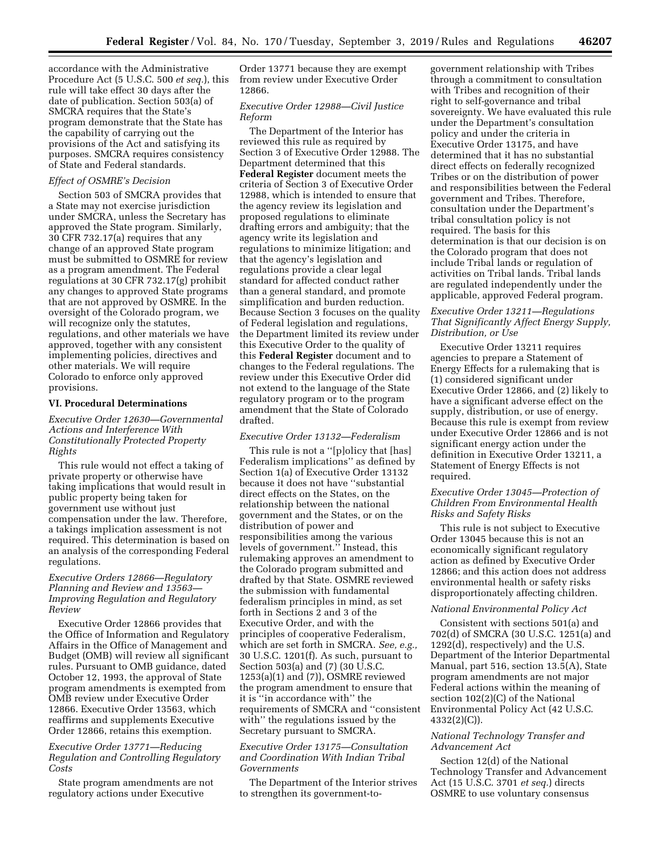accordance with the Administrative Procedure Act (5 U.S.C. 500 *et seq.*), this rule will take effect 30 days after the date of publication. Section 503(a) of SMCRA requires that the State's program demonstrate that the State has the capability of carrying out the provisions of the Act and satisfying its purposes. SMCRA requires consistency of State and Federal standards.

### *Effect of OSMRE's Decision*

Section 503 of SMCRA provides that a State may not exercise jurisdiction under SMCRA, unless the Secretary has approved the State program. Similarly, 30 CFR 732.17(a) requires that any change of an approved State program must be submitted to OSMRE for review as a program amendment. The Federal regulations at 30 CFR 732.17(g) prohibit any changes to approved State programs that are not approved by OSMRE. In the oversight of the Colorado program, we will recognize only the statutes, regulations, and other materials we have approved, together with any consistent implementing policies, directives and other materials. We will require Colorado to enforce only approved provisions.

#### **VI. Procedural Determinations**

## *Executive Order 12630—Governmental Actions and Interference With Constitutionally Protected Property Rights*

This rule would not effect a taking of private property or otherwise have taking implications that would result in public property being taken for government use without just compensation under the law. Therefore, a takings implication assessment is not required. This determination is based on an analysis of the corresponding Federal regulations.

## *Executive Orders 12866—Regulatory Planning and Review and 13563— Improving Regulation and Regulatory Review*

Executive Order 12866 provides that the Office of Information and Regulatory Affairs in the Office of Management and Budget (OMB) will review all significant rules. Pursuant to OMB guidance, dated October 12, 1993, the approval of State program amendments is exempted from OMB review under Executive Order 12866. Executive Order 13563, which reaffirms and supplements Executive Order 12866, retains this exemption.

## *Executive Order 13771—Reducing Regulation and Controlling Regulatory Costs*

State program amendments are not regulatory actions under Executive

Order 13771 because they are exempt from review under Executive Order 12866.

## *Executive Order 12988—Civil Justice Reform*

The Department of the Interior has reviewed this rule as required by Section 3 of Executive Order 12988. The Department determined that this **Federal Register** document meets the criteria of Section 3 of Executive Order 12988, which is intended to ensure that the agency review its legislation and proposed regulations to eliminate drafting errors and ambiguity; that the agency write its legislation and regulations to minimize litigation; and that the agency's legislation and regulations provide a clear legal standard for affected conduct rather than a general standard, and promote simplification and burden reduction. Because Section 3 focuses on the quality of Federal legislation and regulations, the Department limited its review under this Executive Order to the quality of this **Federal Register** document and to changes to the Federal regulations. The review under this Executive Order did not extend to the language of the State regulatory program or to the program amendment that the State of Colorado drafted.

## *Executive Order 13132—Federalism*

This rule is not a ''[p]olicy that [has] Federalism implications'' as defined by Section 1(a) of Executive Order 13132 because it does not have ''substantial direct effects on the States, on the relationship between the national government and the States, or on the distribution of power and responsibilities among the various levels of government.'' Instead, this rulemaking approves an amendment to the Colorado program submitted and drafted by that State. OSMRE reviewed the submission with fundamental federalism principles in mind, as set forth in Sections 2 and 3 of the Executive Order, and with the principles of cooperative Federalism, which are set forth in SMCRA. *See, e.g.,*  30 U.S.C. 1201(f). As such, pursuant to Section 503(a) and (7) (30 U.S.C.  $1253(a)(1)$  and  $(7)$ ), OSMRE reviewed the program amendment to ensure that it is ''in accordance with'' the requirements of SMCRA and ''consistent with'' the regulations issued by the Secretary pursuant to SMCRA.

## *Executive Order 13175—Consultation and Coordination With Indian Tribal Governments*

The Department of the Interior strives to strengthen its government-to-

government relationship with Tribes through a commitment to consultation with Tribes and recognition of their right to self-governance and tribal sovereignty. We have evaluated this rule under the Department's consultation policy and under the criteria in Executive Order 13175, and have determined that it has no substantial direct effects on federally recognized Tribes or on the distribution of power and responsibilities between the Federal government and Tribes. Therefore, consultation under the Department's tribal consultation policy is not required. The basis for this determination is that our decision is on the Colorado program that does not include Tribal lands or regulation of activities on Tribal lands. Tribal lands are regulated independently under the applicable, approved Federal program.

## *Executive Order 13211—Regulations That Significantly Affect Energy Supply, Distribution, or Use*

Executive Order 13211 requires agencies to prepare a Statement of Energy Effects for a rulemaking that is (1) considered significant under Executive Order 12866, and (2) likely to have a significant adverse effect on the supply, distribution, or use of energy. Because this rule is exempt from review under Executive Order 12866 and is not significant energy action under the definition in Executive Order 13211, a Statement of Energy Effects is not required.

## *Executive Order 13045—Protection of Children From Environmental Health Risks and Safety Risks*

This rule is not subject to Executive Order 13045 because this is not an economically significant regulatory action as defined by Executive Order 12866; and this action does not address environmental health or safety risks disproportionately affecting children.

#### *National Environmental Policy Act*

Consistent with sections 501(a) and 702(d) of SMCRA (30 U.S.C. 1251(a) and 1292(d), respectively) and the U.S. Department of the Interior Departmental Manual, part 516, section 13.5(A), State program amendments are not major Federal actions within the meaning of section 102(2)(C) of the National Environmental Policy Act (42 U.S.C. 4332(2)(C)).

## *National Technology Transfer and Advancement Act*

Section 12(d) of the National Technology Transfer and Advancement Act (15 U.S.C. 3701 *et seq.*) directs OSMRE to use voluntary consensus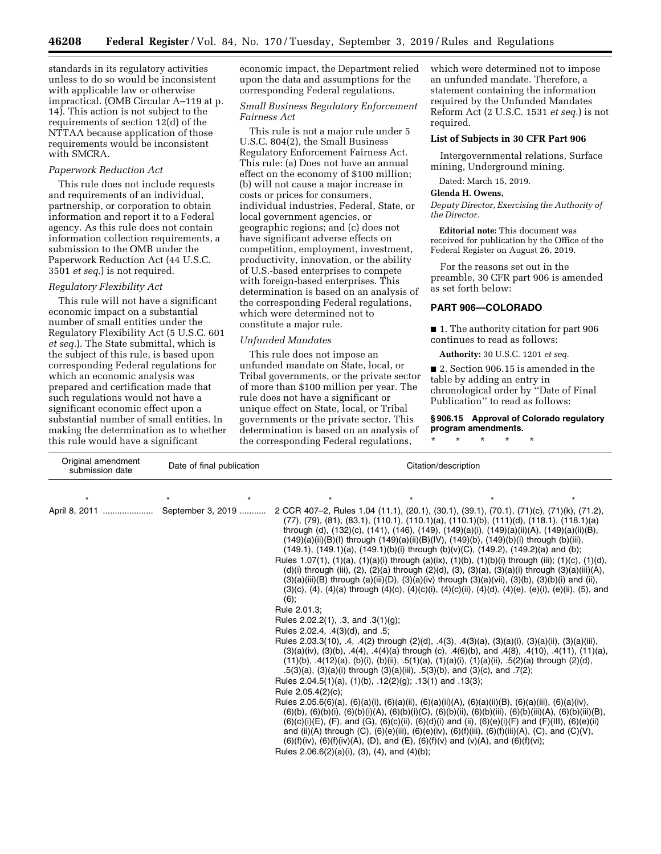standards in its regulatory activities unless to do so would be inconsistent with applicable law or otherwise impractical. (OMB Circular A–119 at p. 14). This action is not subject to the requirements of section 12(d) of the NTTAA because application of those requirements would be inconsistent with SMCRA.

## *Paperwork Reduction Act*

This rule does not include requests and requirements of an individual, partnership, or corporation to obtain information and report it to a Federal agency. As this rule does not contain information collection requirements, a submission to the OMB under the Paperwork Reduction Act (44 U.S.C. 3501 *et seq.*) is not required.

#### *Regulatory Flexibility Act*

This rule will not have a significant economic impact on a substantial number of small entities under the Regulatory Flexibility Act (5 U.S.C. 601 *et seq.*). The State submittal, which is the subject of this rule, is based upon corresponding Federal regulations for which an economic analysis was prepared and certification made that such regulations would not have a significant economic effect upon a substantial number of small entities. In making the determination as to whether this rule would have a significant

economic impact, the Department relied upon the data and assumptions for the corresponding Federal regulations.

## *Small Business Regulatory Enforcement Fairness Act*

This rule is not a major rule under 5 U.S.C. 804(2), the Small Business Regulatory Enforcement Fairness Act. This rule: (a) Does not have an annual effect on the economy of \$100 million; (b) will not cause a major increase in costs or prices for consumers, individual industries, Federal, State, or local government agencies, or geographic regions; and (c) does not have significant adverse effects on competition, employment, investment, productivity, innovation, or the ability of U.S.-based enterprises to compete with foreign-based enterprises. This determination is based on an analysis of the corresponding Federal regulations, which were determined not to constitute a major rule.

#### *Unfunded Mandates*

This rule does not impose an unfunded mandate on State, local, or Tribal governments, or the private sector of more than \$100 million per year. The rule does not have a significant or unique effect on State, local, or Tribal governments or the private sector. This determination is based on an analysis of the corresponding Federal regulations,

which were determined not to impose an unfunded mandate. Therefore, a statement containing the information required by the Unfunded Mandates Reform Act (2 U.S.C. 1531 *et seq.*) is not required.

#### **List of Subjects in 30 CFR Part 906**

Intergovernmental relations, Surface mining, Underground mining.

Dated: March 15, 2019.

#### **Glenda H. Owens,**

*Deputy Director, Exercising the Authority of the Director.* 

**Editorial note:** This document was received for publication by the Office of the Federal Register on August 26, 2019.

For the reasons set out in the preamble, 30 CFR part 906 is amended as set forth below:

## **PART 906—COLORADO**

\* \* \* \* \*

■ 1. The authority citation for part 906 continues to read as follows:

**Authority:** 30 U.S.C. 1201 *et seq.* 

■ 2. Section 906.15 is amended in the table by adding an entry in chronological order by ''Date of Final Publication'' to read as follows:

**§ 906.15 Approval of Colorado regulatory program amendments.** 

| Original amendment<br>submission date | Date of final publication | Citation/description                                                                                                                                                                                                                                                                                                                                                                                                                                                                                                                                                                                                                                                                                                                                                                                                                                                                                                                                                                                                                                                                                                                                                                                                                                                                                                                                                                                                                                                                                                                                                                                                                                                                                                                                                                                                                                                                                                                                                                                                                                                                                                                                                                                                                           |
|---------------------------------------|---------------------------|------------------------------------------------------------------------------------------------------------------------------------------------------------------------------------------------------------------------------------------------------------------------------------------------------------------------------------------------------------------------------------------------------------------------------------------------------------------------------------------------------------------------------------------------------------------------------------------------------------------------------------------------------------------------------------------------------------------------------------------------------------------------------------------------------------------------------------------------------------------------------------------------------------------------------------------------------------------------------------------------------------------------------------------------------------------------------------------------------------------------------------------------------------------------------------------------------------------------------------------------------------------------------------------------------------------------------------------------------------------------------------------------------------------------------------------------------------------------------------------------------------------------------------------------------------------------------------------------------------------------------------------------------------------------------------------------------------------------------------------------------------------------------------------------------------------------------------------------------------------------------------------------------------------------------------------------------------------------------------------------------------------------------------------------------------------------------------------------------------------------------------------------------------------------------------------------------------------------------------------------|
|                                       |                           | $\star$                                                                                                                                                                                                                                                                                                                                                                                                                                                                                                                                                                                                                                                                                                                                                                                                                                                                                                                                                                                                                                                                                                                                                                                                                                                                                                                                                                                                                                                                                                                                                                                                                                                                                                                                                                                                                                                                                                                                                                                                                                                                                                                                                                                                                                        |
| April 8, 2011                         | September 3, 2019         | 2 CCR 407-2, Rules 1.04 (11.1), (20.1), (30.1), (39.1), (70.1), (71)(c), (71)(k), (71.2),<br>(77), (79), (81), (83.1), (110.1), (110.1)(a), (110.1)(b), (111)(d), (118.1), (118.1)(a)<br>through (d), (132)(c), (141), (146), (149), (149)(a)(i), (149)(a)(ii)(A), (149)(a)(ii)(B),<br>$(149)(a)(ii)(B)(I)$ through $(149)(a)(ii)(B)(IV)$ , $(149)(b)$ , $(149)(b)(i)$ through $(b)(iii)$ ,<br>$(149.1)$ , $(149.1)(a)$ , $(149.1)(b)(i)$ through $(b)(v)(C)$ , $(149.2)$ , $(149.2)(a)$ and $(b)$ ;<br>Rules 1.07(1), (1)(a), (1)(a)(i) through (a)(ix), (1)(b), (1)(b)(i) through (iii); (1)(c), (1)(d),<br>(d)(i) through (iii), (2), (2)(a) through (2)(d), (3), (3)(a), (3)(a)(i) through (3)(a)(iii)(A),<br>$(3)(a)(iii)(B)$ through $(a)(iii)(D)$ , $(3)(a)(iv)$ through $(3)(a)(vi)$ , $(3)(b)$ , $(3)(b)(i)$ and $(ii)$ ,<br>$(3)(c)$ , $(4)$ , $(4)(a)$ through $(4)(c)$ , $(4)(c)(i)$ , $(4)(c)(ii)$ , $(4)(d)$ , $(4)(e)$ , $(e)(i)$ , $(e)(ii)$ , $(5)$ , and<br>(6);<br>Rule 2.01.3;<br>Rules $2.02.2(1)$ , .3, and $.3(1)(q)$ ;<br>Rules 2.02.4, .4(3)(d), and .5;<br>Rules 2.03.3(10), .4, .4(2) through (2)(d), .4(3), .4(3)(a), (3)(a)(i), (3)(a)(ii), (3)(a)(iii),<br>$(3)(a)(iv)$ , $(3)(b)$ , $.4(4)$ , $.4(4)(a)$ through (c), $.4(6)(b)$ , and $.4(8)$ , $.4(10)$ , $.4(11)$ , $(11)(a)$ ,<br>$(11)(b)$ , $.4(12)(a)$ , $(b)(i)$ , $(b)(ii)$ , $.5(1)(a)$ , $(1)(a)(i)$ , $(1)(a)(ii)$ , $.5(2)(a)$ through $(2)(d)$ ,<br>.5(3)(a), (3)(a)(i) through (3)(a)(iii), .5(3)(b), and (3)(c), and .7(2);<br>Rules 2.04.5(1)(a), (1)(b), .12(2)(g); .13(1) and .13(3);<br>Rule 2.05.4(2)(c);<br>Rules 2.05.6(6)(a), (6)(a)(i), (6)(a)(ii), (6)(a)(ii)(A), (6)(a)(ii)(B), (6)(a)(iii), (6)(a)(iv),<br>$(6)(b)$ , $(6)(b)(i)$ , $(6)(b)(i)(A)$ , $(6)(b)(i)(C)$ , $(6)(b)(ii)$ , $(6)(b)(iii)$ , $(6)(b)(iii)(A)$ , $(6)(b)(iii)(B)$ ,<br>$(6)(c)(i)(E)$ , $(F)$ , and $(G)$ , $(6)(c)(ii)$ , $(6)(d)(i)$ and $(ii)$ , $(6)(e)(i)(F)$ and $(F)(III)$ , $(6)(e)(ii)$<br>and (ii)(A) through (C), (6)(e)(iii), (6)(e)(iv), (6)(f)(iii), (6)(f)(iii)(A), (C), and (C)(V),<br>$(6)(f)(iv)$ , $(6)(f)(iv)(A)$ , $(D)$ , and $(E)$ , $(6)(f)(v)$ and $(v)(A)$ , and $(6)(f)(vi)$ ;<br>Rules $2.06.6(2)(a)(i)$ , (3), (4), and (4)(b); |